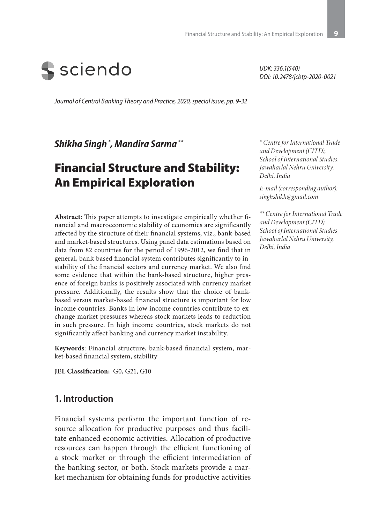

*UDK: 336.1(540) DOI: 10.2478/jcbtp-2020-0021*

*Journal of Central Banking Theory and Practice, 2020, special issue, pp. 9-32*

*Shikha Singh \*, Mandira Sarma \*\**

# Financial Structure and Stability: An Empirical Exploration

**Abstract**: This paper attempts to investigate empirically whether financial and macroeconomic stability of economies are significantly affected by the structure of their financial systems, viz., bank-based and market-based structures. Using panel data estimations based on data from 82 countries for the period of 1996-2012, we find that in general, bank-based financial system contributes significantly to instability of the financial sectors and currency market. We also find some evidence that within the bank-based structure, higher presence of foreign banks is positively associated with currency market pressure. Additionally, the results show that the choice of bankbased versus market-based financial structure is important for low income countries. Banks in low income countries contribute to exchange market pressures whereas stock markets leads to reduction in such pressure. In high income countries, stock markets do not significantly affect banking and currency market instability.

**Keywords**: Financial structure, bank-based financial system, market-based financial system, stability

**JEL Classification:** G0, G21, G10

#### **1. Introduction**

Financial systems perform the important function of resource allocation for productive purposes and thus facilitate enhanced economic activities. Allocation of productive resources can happen through the efficient functioning of a stock market or through the efficient intermediation of the banking sector, or both. Stock markets provide a market mechanism for obtaining funds for productive activities

*\* Centre for International Trade and Development (CITD), School of International Studies, Jawaharlal Nehru University, Delhi, India* 

*E-mail (corresponding author): singhshikh@gmail.com*

*\*\* Centre for International Trade and Development (CITD), School of International Studies, Jawaharlal Nehru University, Delhi, India*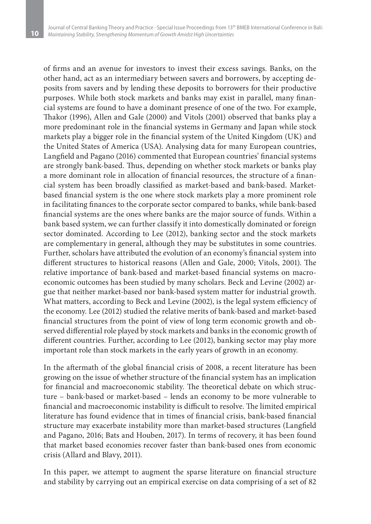**10**

of firms and an avenue for investors to invest their excess savings. Banks, on the other hand, act as an intermediary between savers and borrowers, by accepting deposits from savers and by lending these deposits to borrowers for their productive purposes. While both stock markets and banks may exist in parallel, many financial systems are found to have a dominant presence of one of the two. For example, Thakor (1996), Allen and Gale (2000) and Vitols (2001) observed that banks play a more predominant role in the financial systems in Germany and Japan while stock markets play a bigger role in the financial system of the United Kingdom (UK) and the United States of America (USA). Analysing data for many European countries, Langfield and Pagano (2016) commented that European countries' financial systems are strongly bank-based. Thus, depending on whether stock markets or banks play a more dominant role in allocation of financial resources, the structure of a financial system has been broadly classified as market-based and bank-based. Marketbased financial system is the one where stock markets play a more prominent role in facilitating finances to the corporate sector compared to banks, while bank-based financial systems are the ones where banks are the major source of funds. Within a bank based system, we can further classify it into domestically dominated or foreign sector dominated. According to Lee (2012), banking sector and the stock markets are complementary in general, although they may be substitutes in some countries. Further, scholars have attributed the evolution of an economy's financial system into different structures to historical reasons (Allen and Gale, 2000; Vitols, 2001). The relative importance of bank-based and market-based financial systems on macroeconomic outcomes has been studied by many scholars. Beck and Levine (2002) argue that neither market-based nor bank-based system matter for industrial growth. What matters, according to Beck and Levine (2002), is the legal system efficiency of the economy. Lee (2012) studied the relative merits of bank-based and market-based financial structures from the point of view of long term economic growth and observed differential role played by stock markets and banks in the economic growth of different countries. Further, according to Lee (2012), banking sector may play more important role than stock markets in the early years of growth in an economy.

In the aftermath of the global financial crisis of 2008, a recent literature has been growing on the issue of whether structure of the financial system has an implication for financial and macroeconomic stability. The theoretical debate on which structure – bank-based or market-based – lends an economy to be more vulnerable to financial and macroeconomic instability is difficult to resolve. The limited empirical literature has found evidence that in times of financial crisis, bank-based financial structure may exacerbate instability more than market-based structures (Langfield and Pagano, 2016; Bats and Houben, 2017). In terms of recovery, it has been found that market based economies recover faster than bank-based ones from economic crisis (Allard and Blavy, 2011).

In this paper, we attempt to augment the sparse literature on financial structure and stability by carrying out an empirical exercise on data comprising of a set of 82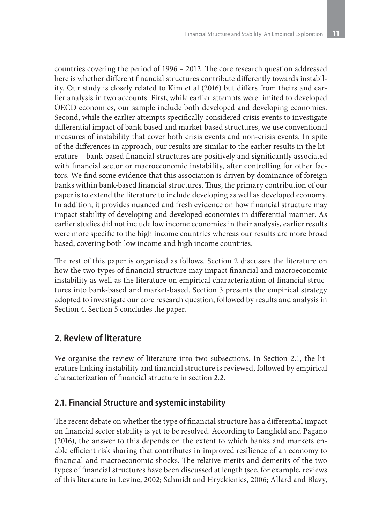countries covering the period of 1996 – 2012. The core research question addressed here is whether different financial structures contribute differently towards instability. Our study is closely related to Kim et al (2016) but differs from theirs and earlier analysis in two accounts. First, while earlier attempts were limited to developed OECD economies, our sample include both developed and developing economies. Second, while the earlier attempts specifically considered crisis events to investigate differential impact of bank-based and market-based structures, we use conventional measures of instability that cover both crisis events and non-crisis events. In spite of the differences in approach, our results are similar to the earlier results in the literature – bank-based financial structures are positively and significantly associated with financial sector or macroeconomic instability, after controlling for other factors. We find some evidence that this association is driven by dominance of foreign banks within bank-based financial structures. Thus, the primary contribution of our paper is to extend the literature to include developing as well as developed economy. In addition, it provides nuanced and fresh evidence on how financial structure may impact stability of developing and developed economies in differential manner. As earlier studies did not include low income economies in their analysis, earlier results were more specific to the high income countries whereas our results are more broad based, covering both low income and high income countries.

The rest of this paper is organised as follows. Section 2 discusses the literature on how the two types of financial structure may impact financial and macroeconomic instability as well as the literature on empirical characterization of financial structures into bank-based and market-based. Section 3 presents the empirical strategy adopted to investigate our core research question, followed by results and analysis in Section 4. Section 5 concludes the paper.

### **2. Review of literature**

We organise the review of literature into two subsections. In Section 2.1, the literature linking instability and financial structure is reviewed, followed by empirical characterization of financial structure in section 2.2.

### **2.1. Financial Structure and systemic instability**

The recent debate on whether the type of financial structure has a differential impact on financial sector stability is yet to be resolved. According to Langfield and Pagano (2016), the answer to this depends on the extent to which banks and markets enable efficient risk sharing that contributes in improved resilience of an economy to financial and macroeconomic shocks. The relative merits and demerits of the two types of financial structures have been discussed at length (see, for example, reviews of this literature in Levine, 2002; Schmidt and Hryckienics, 2006; Allard and Blavy,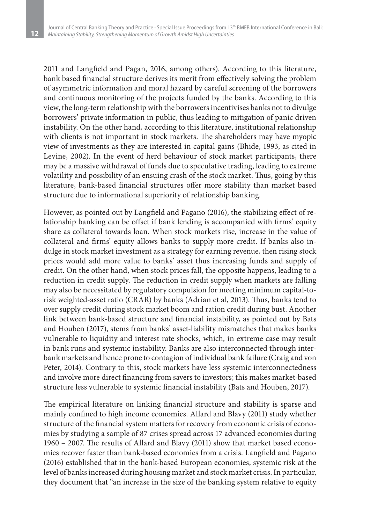**12**

2011 and Langfield and Pagan, 2016, among others). According to this literature, bank based financial structure derives its merit from effectively solving the problem of asymmetric information and moral hazard by careful screening of the borrowers and continuous monitoring of the projects funded by the banks. According to this view, the long-term relationship with the borrowers incentivises banks not to divulge borrowers' private information in public, thus leading to mitigation of panic driven instability. On the other hand, according to this literature, institutional relationship with clients is not important in stock markets. The shareholders may have myopic view of investments as they are interested in capital gains (Bhide, 1993, as cited in Levine, 2002). In the event of herd behaviour of stock market participants, there may be a massive withdrawal of funds due to speculative trading, leading to extreme volatility and possibility of an ensuing crash of the stock market. Thus, going by this literature, bank-based financial structures offer more stability than market based structure due to informational superiority of relationship banking.

However, as pointed out by Langfield and Pagano (2016), the stabilizing effect of relationship banking can be offset if bank lending is accompanied with firms' equity share as collateral towards loan. When stock markets rise, increase in the value of collateral and firms' equity allows banks to supply more credit. If banks also indulge in stock market investment as a strategy for earning revenue, then rising stock prices would add more value to banks' asset thus increasing funds and supply of credit. On the other hand, when stock prices fall, the opposite happens, leading to a reduction in credit supply. The reduction in credit supply when markets are falling may also be necessitated by regulatory compulsion for meeting minimum capital-torisk weighted-asset ratio (CRAR) by banks (Adrian et al, 2013). Thus, banks tend to over supply credit during stock market boom and ration credit during bust. Another link between bank-based structure and financial instability, as pointed out by Bats and Houben (2017), stems from banks' asset-liability mismatches that makes banks vulnerable to liquidity and interest rate shocks, which, in extreme case may result in bank runs and systemic instability. Banks are also interconnected through interbank markets and hence prone to contagion of individual bank failure (Craig and von Peter, 2014). Contrary to this, stock markets have less systemic interconnectedness and involve more direct financing from savers to investors; this makes market-based structure less vulnerable to systemic financial instability (Bats and Houben, 2017).

The empirical literature on linking financial structure and stability is sparse and mainly confined to high income economies. Allard and Blavy (2011) study whether structure of the financial system matters for recovery from economic crisis of economies by studying a sample of 87 crises spread across 17 advanced economies during 1960 – 2007. The results of Allard and Blavy (2011) show that market based economies recover faster than bank-based economies from a crisis. Langfield and Pagano (2016) established that in the bank-based European economies, systemic risk at the level of banks increased during housing market and stock market crisis. In particular, they document that "an increase in the size of the banking system relative to equity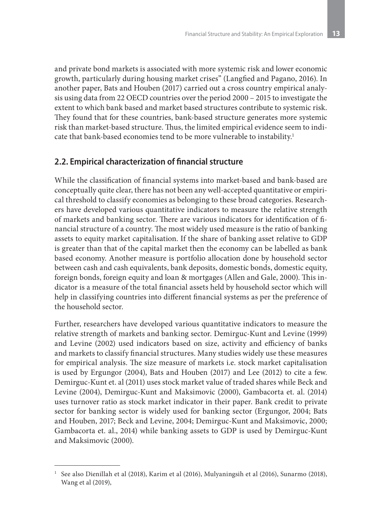and private bond markets is associated with more systemic risk and lower economic growth, particularly during housing market crises" (Langfied and Pagano, 2016). In another paper, Bats and Houben (2017) carried out a cross country empirical analysis using data from 22 OECD countries over the period 2000 – 2015 to investigate the extent to which bank based and market based structures contribute to systemic risk. They found that for these countries, bank-based structure generates more systemic risk than market-based structure. Thus, the limited empirical evidence seem to indicate that bank-based economies tend to be more vulnerable to instability.<sup>1</sup>

### **2.2. Empirical characterization of financial structure**

While the classification of financial systems into market-based and bank-based are conceptually quite clear, there has not been any well-accepted quantitative or empirical threshold to classify economies as belonging to these broad categories. Researchers have developed various quantitative indicators to measure the relative strength of markets and banking sector. There are various indicators for identification of financial structure of a country. The most widely used measure is the ratio of banking assets to equity market capitalisation. If the share of banking asset relative to GDP is greater than that of the capital market then the economy can be labelled as bank based economy. Another measure is portfolio allocation done by household sector between cash and cash equivalents, bank deposits, domestic bonds, domestic equity, foreign bonds, foreign equity and loan & mortgages (Allen and Gale, 2000). This indicator is a measure of the total financial assets held by household sector which will help in classifying countries into different financial systems as per the preference of the household sector.

Further, researchers have developed various quantitative indicators to measure the relative strength of markets and banking sector. Demirguc-Kunt and Levine (1999) and Levine (2002) used indicators based on size, activity and efficiency of banks and markets to classify financial structures. Many studies widely use these measures for empirical analysis. The size measure of markets i.e. stock market capitalisation is used by Ergungor (2004), Bats and Houben (2017) and Lee (2012) to cite a few. Demirguc-Kunt et. al (2011) uses stock market value of traded shares while Beck and Levine (2004), Demirguc-Kunt and Maksimovic (2000), Gambacorta et. al. (2014) uses turnover ratio as stock market indicator in their paper. Bank credit to private sector for banking sector is widely used for banking sector (Ergungor, 2004; Bats and Houben, 2017; Beck and Levine, 2004; Demirguc-Kunt and Maksimovic, 2000; Gambacorta et. al., 2014) while banking assets to GDP is used by Demirguc-Kunt and Maksimovic (2000).

<sup>1</sup> See also Dienillah et al (2018), Karim et al (2016), Mulyaningsih et al (2016), Sunarmo (2018), Wang et al (2019),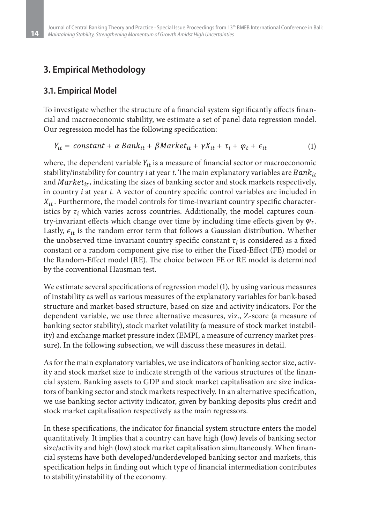## **3. Empirical Methodology**

### **3.1. Empirical Model**

**14**

To investigate whether the structure of a financial system significantly affects financial and macroeconomic stability, we estimate a set of panel data regression model. Our regression model has the following specification:

$$
Y_{it} = constant + \alpha Bank_{it} + \beta Market_{it} + \gamma X_{it} + \tau_i + \varphi_t + \epsilon_{it}
$$
 (1)

where, the dependent variable  $Y_{it}$  is a measure of financial sector or macroeconomic stability/instability for country *i* at year *t*. The main explanatory variables are and  $Market_{it}$ , indicating the sizes of banking sector and stock markets respectively, in country *i* at year *t*. A vector of country specific control variables are included in  $X_{it}$ . Furthermore, the model controls for time-invariant country specific characteristics by  $\tau_i$  which varies across countries. Additionally, the model captures country-invariant effects which change over time by including time effects given by  $\varphi_t$ . Lastly,  $\epsilon_{it}$  is the random error term that follows a Gaussian distribution. Whether the unobserved time-invariant country specific constant  $\tau_i$  is considered as a fixed constant or a random component give rise to either the Fixed-Effect (FE) model or the Random-Effect model (RE). The choice between FE or RE model is determined by the conventional Hausman test.

We estimate several specifications of regression model (1), by using various measures of instability as well as various measures of the explanatory variables for bank-based structure and market-based structure, based on size and activity indicators. For the dependent variable, we use three alternative measures, viz., Z-score (a measure of banking sector stability), stock market volatility (a measure of stock market instability) and exchange market pressure index (EMPI, a measure of currency market pressure). In the following subsection, we will discuss these measures in detail.

As for the main explanatory variables, we use indicators of banking sector size, activity and stock market size to indicate strength of the various structures of the financial system. Banking assets to GDP and stock market capitalisation are size indicators of banking sector and stock markets respectively. In an alternative specification, we use banking sector activity indicator, given by banking deposits plus credit and stock market capitalisation respectively as the main regressors.

In these specifications, the indicator for financial system structure enters the model quantitatively. It implies that a country can have high (low) levels of banking sector size/activity and high (low) stock market capitalisation simultaneously. When financial systems have both developed/underdeveloped banking sector and markets, this specification helps in finding out which type of financial intermediation contributes to stability/instability of the economy.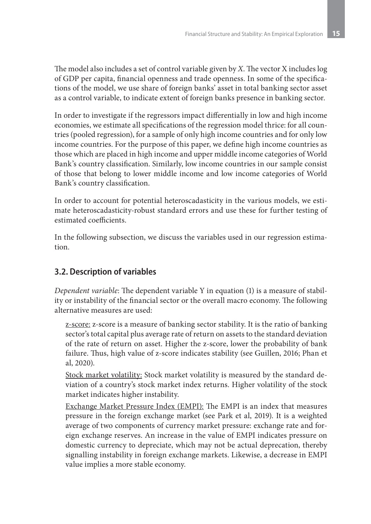The model also includes a set of control variable given by *X*. The vector X includes log of GDP per capita, financial openness and trade openness. In some of the specifications of the model, we use share of foreign banks' asset in total banking sector asset as a control variable, to indicate extent of foreign banks presence in banking sector.

In order to investigate if the regressors impact differentially in low and high income economies, we estimate all specifications of the regression model thrice: for all countries (pooled regression), for a sample of only high income countries and for only low income countries. For the purpose of this paper, we define high income countries as those which are placed in high income and upper middle income categories of World Bank's country classification. Similarly, low income countries in our sample consist of those that belong to lower middle income and low income categories of World Bank's country classification.

In order to account for potential heteroscadasticity in the various models, we estimate heteroscadasticity-robust standard errors and use these for further testing of estimated coefficients.

In the following subsection, we discuss the variables used in our regression estimation.

### **3.2. Description of variables**

*Dependent variable*: The dependent variable Y in equation (1) is a measure of stability or instability of the financial sector or the overall macro economy. The following alternative measures are used:

z-score: z-score is a measure of banking sector stability. It is the ratio of banking sector's total capital plus average rate of return on assets to the standard deviation of the rate of return on asset. Higher the z-score, lower the probability of bank failure. Thus, high value of z-score indicates stability (see Guillen, 2016; Phan et al, 2020).

Stock market volatility: Stock market volatility is measured by the standard deviation of a country's stock market index returns. Higher volatility of the stock market indicates higher instability.

Exchange Market Pressure Index (EMPI): The EMPI is an index that measures pressure in the foreign exchange market (see Park et al, 2019). It is a weighted average of two components of currency market pressure: exchange rate and foreign exchange reserves. An increase in the value of EMPI indicates pressure on domestic currency to depreciate, which may not be actual deprecation, thereby signalling instability in foreign exchange markets. Likewise, a decrease in EMPI value implies a more stable economy.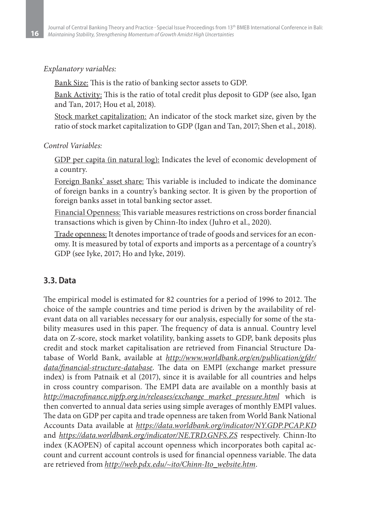#### *Explanatory variables:*

Bank Size: This is the ratio of banking sector assets to GDP.

Bank Activity: This is the ratio of total credit plus deposit to GDP (see also, Igan and Tan, 2017; Hou et al, 2018).

Stock market capitalization: An indicator of the stock market size, given by the ratio of stock market capitalization to GDP (Igan and Tan, 2017; Shen et al., 2018).

#### *Control Variables:*

GDP per capita (in natural log): Indicates the level of economic development of a country.

Foreign Banks' asset share: This variable is included to indicate the dominance of foreign banks in a country's banking sector. It is given by the proportion of foreign banks asset in total banking sector asset.

Financial Openness: This variable measures restrictions on cross border financial transactions which is given by Chinn-Ito index (Juhro et al., 2020).

Trade openness: It denotes importance of trade of goods and services for an economy. It is measured by total of exports and imports as a percentage of a country's GDP (see Iyke, 2017; Ho and Iyke, 2019).

#### **3.3. Data**

The empirical model is estimated for 82 countries for a period of 1996 to 2012. The choice of the sample countries and time period is driven by the availability of relevant data on all variables necessary for our analysis, especially for some of the stability measures used in this paper. The frequency of data is annual. Country level data on Z-score, stock market volatility, banking assets to GDP, bank deposits plus credit and stock market capitalisation are retrieved from Financial Structure Database of World Bank, available at *http://www.worldbank.org/en/publication/gfdr/ data/financial-structure-database*. The data on EMPI (exchange market pressure index) is from Patnaik et al (2017), since it is available for all countries and helps in cross country comparison. The EMPI data are available on a monthly basis at *http://macrofinance.nipfp.org.in/releases/exchange\_market\_pressure.html* which is then converted to annual data series using simple averages of monthly EMPI values. The data on GDP per capita and trade openness are taken from World Bank National Accounts Data available at *https://data.worldbank.org/indicator/NY.GDP.PCAP.KD* and *https://data.worldbank.org/indicator/NE.TRD.GNFS.ZS* respectively. Chinn-Ito index (KAOPEN) of capital account openness which incorporates both capital account and current account controls is used for financial openness variable. The data are retrieved from *http://web.pdx.edu/~ito/Chinn-Ito\_website.htm*.

**16**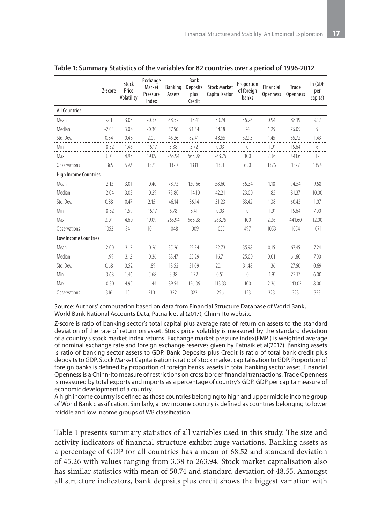|                              | Z-score | Stock<br>Price<br>Volatility | Exchange<br>Market<br>Pressure<br>Index | <b>Banking</b><br>Assets | Bank<br><b>Deposits</b><br>plus<br>Credit | <b>Stock Market</b><br>Capitalisation | Proportion<br>of foreign<br>banks | Financial<br>Openness | Trade<br>Openness | In (GDP<br>per<br>capita) |
|------------------------------|---------|------------------------------|-----------------------------------------|--------------------------|-------------------------------------------|---------------------------------------|-----------------------------------|-----------------------|-------------------|---------------------------|
| <b>All Countries</b>         |         |                              |                                         |                          |                                           |                                       |                                   |                       |                   |                           |
| Mean                         | $-2.1$  | 3.03                         | $-0.37$                                 | 68.52                    | 113.41                                    | 50.74                                 | 36.26                             | 0.94                  | 88.19             | 9.12                      |
| Median                       | $-2.03$ | 3.04                         | $-0.30$                                 | 57.56                    | 91.34                                     | 34.18                                 | 24                                | 1.29                  | 76.05             | 9                         |
| Std. Dev.                    | 0.84    | 0.48                         | 2.09                                    | 45.26                    | 82.41                                     | 48.55                                 | 32.95                             | 1.45                  | 55.72             | 1.43                      |
| Min                          | $-8.52$ | 1.46                         | $-16.17$                                | 3.38                     | 5.72                                      | 0.03                                  | $\theta$                          | $-1.91$               | 15.64             | 6                         |
| Max                          | 3.01    | 4.95                         | 19.09                                   | 263.94                   | 568.28                                    | 263.75                                | 100                               | 2.36                  | 441.6             | 12                        |
| Observations                 | 1369    | 992                          | 1321                                    | 1370                     | 1331                                      | 1351                                  | 650                               | 1376                  | 1377              | 1394                      |
| <b>High Income Countries</b> |         |                              |                                         |                          |                                           |                                       |                                   |                       |                   |                           |
| Mean                         | $-2.13$ | 3.01                         | $-0.40$                                 | 78.73                    | 130.66                                    | 58.60                                 | 36.34                             | 1.18                  | 94.54             | 9.68                      |
| Median                       | $-2.04$ | 3.03                         | $-0.29$                                 | 73.80                    | 114.10                                    | 42.21                                 | 23.00                             | 1.85                  | 81.37             | 10.00                     |
| Std. Dev.                    | 0.88    | 0.47                         | 2.15                                    | 46.14                    | 86.14                                     | 51.23                                 | 33.42                             | 1.38                  | 60.43             | 1.07                      |
| Min                          | $-8.52$ | 1.59                         | $-16.17$                                | 5.78                     | 8.41                                      | 0.03                                  | $\theta$                          | $-1.91$               | 15.64             | 7.00                      |
| Max                          | 3.01    | 4.60                         | 19.09                                   | 263.94                   | 568.28                                    | 263.75                                | 100                               | 2.36                  | 441.60            | 12.00                     |
| Observations                 | 1053    | 841                          | 1011                                    | 1048                     | 1009                                      | 1055                                  | 497                               | 1053                  | 1054              | 1071                      |
| Low Income Countries         |         |                              |                                         |                          |                                           |                                       |                                   |                       |                   |                           |
| Mean                         | $-2.00$ | 3.12                         | $-0.26$                                 | 35.26                    | 59.34                                     | 22.73                                 | 35.98                             | 0.15                  | 67.45             | 7.24                      |
| Median                       | $-1.99$ | 3.12                         | $-0.36$                                 | 33.47                    | 55.29                                     | 16.71                                 | 25.00                             | 0.01                  | 61.60             | 7.00                      |
| Std. Dev.                    | 0.68    | 0.52                         | 1.89                                    | 18.52                    | 31.09                                     | 20.11                                 | 31.48                             | 1.36                  | 27.60             | 0.69                      |
| Min                          | $-3.68$ | 1.46                         | $-5.68$                                 | 3.38                     | 5.72                                      | 0.51                                  | 0                                 | $-1.91$               | 22.17             | 6.00                      |
| Max                          | $-0.30$ | 4.95                         | 11.44                                   | 89.54                    | 156.09                                    | 113.33                                | 100                               | 2.36                  | 143.02            | 8.00                      |
| Observations                 | 316     | 151                          | 310                                     | 322                      | 322                                       | 296                                   | 153                               | 323                   | 323               | 323                       |

#### **Table 1: Summary Statistics of the variables for 82 countries over a period of 1996-2012**

Source: Authors' computation based on data from Financial Structure Database of World Bank, World Bank National Accounts Data, Patnaik et al (2017), Chinn-Ito website

Z-score is ratio of banking sector's total capital plus average rate of return on assets to the standard deviation of the rate of return on asset. Stock price volatility is measured by the standard deviation of a country's stock market index returns. Exchange market pressure index(EMPI) is weighted average of nominal exchange rate and foreign exchange reserves given by Patnaik et al(2017). Banking assets is ratio of banking sector assets to GDP. Bank Deposits plus Credit is ratio of total bank credit plus deposits to GDP. Stock Market Capitalisation is ratio of stock market capitalisation to GDP. Proportion of foreign banks is defined by proportion of foreign banks' assets in total banking sector asset. Financial Openness is a Chinn-Ito measure of restrictions on cross border financial transactions. Trade Openness is measured by total exports and imports as a percentage of country's GDP. GDP per capita measure of economic development of a country.

A high income country is defined as those countries belonging to high and upper middle income group of World Bank classification. Similarly, a low income country is defined as countries belonging to lower middle and low income groups of WB classification.

Table 1 presents summary statistics of all variables used in this study. The size and activity indicators of financial structure exhibit huge variations. Banking assets as a percentage of GDP for all countries has a mean of 68.52 and standard deviation of 45.26 with values ranging from 3.38 to 263.94. Stock market capitalisation also has similar statistics with mean of 50.74 and standard deviation of 48.55. Amongst all structure indicators, bank deposits plus credit shows the biggest variation with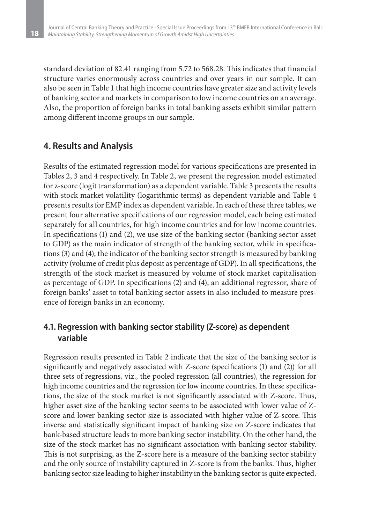standard deviation of 82.41 ranging from 5.72 to 568.28. This indicates that financial structure varies enormously across countries and over years in our sample. It can also be seen in Table 1 that high income countries have greater size and activity levels of banking sector and markets in comparison to low income countries on an average. Also, the proportion of foreign banks in total banking assets exhibit similar pattern among different income groups in our sample.

### **4. Results and Analysis**

**18**

Results of the estimated regression model for various specifications are presented in Tables 2, 3 and 4 respectively. In Table 2, we present the regression model estimated for z-score (logit transformation) as a dependent variable. Table 3 presents the results with stock market volatility (logarithmic terms) as dependent variable and Table 4 presents results for EMP index as dependent variable. In each of these three tables, we present four alternative specifications of our regression model, each being estimated separately for all countries, for high income countries and for low income countries. In specifications (1) and (2), we use size of the banking sector (banking sector asset to GDP) as the main indicator of strength of the banking sector, while in specifications (3) and (4), the indicator of the banking sector strength is measured by banking activity (volume of credit plus deposit as percentage of GDP). In all specifications, the strength of the stock market is measured by volume of stock market capitalisation as percentage of GDP. In specifications (2) and (4), an additional regressor, share of foreign banks' asset to total banking sector assets in also included to measure presence of foreign banks in an economy.

### **4.1. Regression with banking sector stability (Z-score) as dependent variable**

Regression results presented in Table 2 indicate that the size of the banking sector is significantly and negatively associated with Z-score (specifications (1) and (2)) for all three sets of regressions, viz., the pooled regression (all countries), the regression for high income countries and the regression for low income countries. In these specifications, the size of the stock market is not significantly associated with Z-score. Thus, higher asset size of the banking sector seems to be associated with lower value of Zscore and lower banking sector size is associated with higher value of Z-score. This inverse and statistically significant impact of banking size on Z-score indicates that bank-based structure leads to more banking sector instability. On the other hand, the size of the stock market has no significant association with banking sector stability. This is not surprising, as the Z-score here is a measure of the banking sector stability and the only source of instability captured in Z-score is from the banks. Thus, higher banking sector size leading to higher instability in the banking sector is quite expected.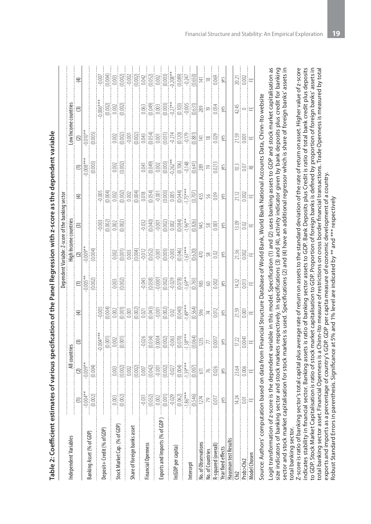|                                |                             |                                                                                                                                                                                                                                                                                                                                                                                                                |                                                                                                                                                                                                                                                                                                                                                                                                                        |             |                                                                                   | Dependent Variable: Z-score of the banking sector                |       |              |                                                                                                                                                          |                                                                                                                                                                                                                                                                                                                                                                                                  |                                                                                                |             |
|--------------------------------|-----------------------------|----------------------------------------------------------------------------------------------------------------------------------------------------------------------------------------------------------------------------------------------------------------------------------------------------------------------------------------------------------------------------------------------------------------|------------------------------------------------------------------------------------------------------------------------------------------------------------------------------------------------------------------------------------------------------------------------------------------------------------------------------------------------------------------------------------------------------------------------|-------------|-----------------------------------------------------------------------------------|------------------------------------------------------------------|-------|--------------|----------------------------------------------------------------------------------------------------------------------------------------------------------|--------------------------------------------------------------------------------------------------------------------------------------------------------------------------------------------------------------------------------------------------------------------------------------------------------------------------------------------------------------------------------------------------|------------------------------------------------------------------------------------------------|-------------|
| Independent Variables          |                             | All countries                                                                                                                                                                                                                                                                                                                                                                                                  |                                                                                                                                                                                                                                                                                                                                                                                                                        |             |                                                                                   |                                                                  |       |              |                                                                                                                                                          |                                                                                                                                                                                                                                                                                                                                                                                                  |                                                                                                |             |
|                                |                             |                                                                                                                                                                                                                                                                                                                                                                                                                | $\begin{array}{c} \boxed{3} \end{array}$                                                                                                                                                                                                                                                                                                                                                                               | $\bigoplus$ | $\left  \begin{matrix} \mathbf{c} \ \mathbf{b} \ \mathbf{c} \end{matrix} \right $ | High Income countries<br>(2)<br>$-0.009**$<br>(0.004)<br>(0.004) |       | $\mathbf{E}$ |                                                                                                                                                          | Low Income countries<br>(2)<br>$-0.010**$<br>(0.005)<br>(0.005)                                                                                                                                                                                                                                                                                                                                  |                                                                                                | $\bigoplus$ |
|                                | $\frac{1}{\frac{1}{20004}}$ | $\frac{2}{\frac{1}{20004}}$                                                                                                                                                                                                                                                                                                                                                                                    |                                                                                                                                                                                                                                                                                                                                                                                                                        |             |                                                                                   |                                                                  |       |              | $\begin{array}{c} \n 0 \\  -1 \\  0 \\  0 \\  0 \\  0 \\  \hline\n 0 \\  0 \\  \hline\n 0 \\  0 \\  \hline\n 0 \\  0 \\  0 \\  \hline\n 0\n \end{array}$ |                                                                                                                                                                                                                                                                                                                                                                                                  |                                                                                                |             |
| Banking Asset (% of GDP)       |                             |                                                                                                                                                                                                                                                                                                                                                                                                                |                                                                                                                                                                                                                                                                                                                                                                                                                        |             |                                                                                   |                                                                  |       |              |                                                                                                                                                          |                                                                                                                                                                                                                                                                                                                                                                                                  |                                                                                                |             |
|                                |                             |                                                                                                                                                                                                                                                                                                                                                                                                                | $\begin{tabular}{c} 10004 \hline 10001 \hline 10001 \hline 10001 \hline 10001 \hline 10001 \hline 10001 \hline 10001 \hline 10001 \hline 10001 \hline 10001 \hline 10001 \hline 10001 \hline 11001 \hline 11001 \hline 11001 \hline 11001 \hline 11001 \hline 11001 \hline 11001 \hline 11001 \hline 11001 \hline 11001 \hline 1100$                                                                                   |             |                                                                                   |                                                                  |       |              |                                                                                                                                                          |                                                                                                                                                                                                                                                                                                                                                                                                  | $\begin{array}{c} -0.006*** \\ -0.0021 \\ -0.0021 \\ -0.0021 \\ -0.0021 \\ \hline \end{array}$ |             |
| Deposit+Credit (% of GDP)      |                             |                                                                                                                                                                                                                                                                                                                                                                                                                |                                                                                                                                                                                                                                                                                                                                                                                                                        |             |                                                                                   |                                                                  |       |              |                                                                                                                                                          |                                                                                                                                                                                                                                                                                                                                                                                                  |                                                                                                |             |
|                                |                             |                                                                                                                                                                                                                                                                                                                                                                                                                |                                                                                                                                                                                                                                                                                                                                                                                                                        |             |                                                                                   |                                                                  |       |              |                                                                                                                                                          |                                                                                                                                                                                                                                                                                                                                                                                                  |                                                                                                |             |
| Stock Market Cap. (% of GDP)   | $\frac{1}{(0.002)}$         |                                                                                                                                                                                                                                                                                                                                                                                                                |                                                                                                                                                                                                                                                                                                                                                                                                                        |             | $\frac{0.000}{0.000}$                                                             |                                                                  |       |              | $\begin{bmatrix} 0.001 \\ 0.002 \end{bmatrix}$                                                                                                           |                                                                                                                                                                                                                                                                                                                                                                                                  |                                                                                                |             |
|                                |                             |                                                                                                                                                                                                                                                                                                                                                                                                                |                                                                                                                                                                                                                                                                                                                                                                                                                        |             |                                                                                   |                                                                  |       |              |                                                                                                                                                          |                                                                                                                                                                                                                                                                                                                                                                                                  |                                                                                                |             |
| Share of foreign banks asset   |                             |                                                                                                                                                                                                                                                                                                                                                                                                                |                                                                                                                                                                                                                                                                                                                                                                                                                        |             |                                                                                   |                                                                  |       |              |                                                                                                                                                          |                                                                                                                                                                                                                                                                                                                                                                                                  |                                                                                                |             |
|                                |                             |                                                                                                                                                                                                                                                                                                                                                                                                                |                                                                                                                                                                                                                                                                                                                                                                                                                        |             |                                                                                   |                                                                  |       |              |                                                                                                                                                          |                                                                                                                                                                                                                                                                                                                                                                                                  |                                                                                                |             |
| inancial Openness              |                             |                                                                                                                                                                                                                                                                                                                                                                                                                | $\begin{tabular}{ c c c c } \hline & {\color{blue} 0034} & {\color{blue} 0034} & {\color{blue} 0034} & {\color{blue} 0034} & {\color{blue} 0034} & {\color{blue} 0034} & {\color{blue} 0034} & {\color{blue} 0034} & {\color{blue} 0034} & {\color{blue} 0034} & {\color{blue} 0034} & {\color{blue} 0034} & {\color{blue} 0034} & {\color{blue} 0034} & {\color{blue} 0034} & {\color{blue} 0034} & {\color{blue} 00$ |             |                                                                                   |                                                                  |       |              |                                                                                                                                                          |                                                                                                                                                                                                                                                                                                                                                                                                  |                                                                                                |             |
|                                |                             |                                                                                                                                                                                                                                                                                                                                                                                                                |                                                                                                                                                                                                                                                                                                                                                                                                                        |             |                                                                                   |                                                                  |       |              |                                                                                                                                                          |                                                                                                                                                                                                                                                                                                                                                                                                  |                                                                                                |             |
| Exports and Imports (% of GDP) |                             |                                                                                                                                                                                                                                                                                                                                                                                                                |                                                                                                                                                                                                                                                                                                                                                                                                                        |             |                                                                                   |                                                                  |       |              |                                                                                                                                                          |                                                                                                                                                                                                                                                                                                                                                                                                  |                                                                                                |             |
|                                |                             |                                                                                                                                                                                                                                                                                                                                                                                                                |                                                                                                                                                                                                                                                                                                                                                                                                                        |             |                                                                                   |                                                                  |       |              |                                                                                                                                                          |                                                                                                                                                                                                                                                                                                                                                                                                  |                                                                                                |             |
| In(GDP per capita)             |                             |                                                                                                                                                                                                                                                                                                                                                                                                                |                                                                                                                                                                                                                                                                                                                                                                                                                        |             |                                                                                   |                                                                  |       |              |                                                                                                                                                          |                                                                                                                                                                                                                                                                                                                                                                                                  |                                                                                                |             |
|                                |                             |                                                                                                                                                                                                                                                                                                                                                                                                                |                                                                                                                                                                                                                                                                                                                                                                                                                        |             |                                                                                   |                                                                  |       |              |                                                                                                                                                          |                                                                                                                                                                                                                                                                                                                                                                                                  |                                                                                                |             |
| ntercept                       |                             |                                                                                                                                                                                                                                                                                                                                                                                                                |                                                                                                                                                                                                                                                                                                                                                                                                                        |             |                                                                                   |                                                                  |       |              |                                                                                                                                                          |                                                                                                                                                                                                                                                                                                                                                                                                  |                                                                                                |             |
| No. of Observations            |                             |                                                                                                                                                                                                                                                                                                                                                                                                                |                                                                                                                                                                                                                                                                                                                                                                                                                        |             |                                                                                   |                                                                  |       |              |                                                                                                                                                          |                                                                                                                                                                                                                                                                                                                                                                                                  |                                                                                                |             |
| No. of Countries               |                             |                                                                                                                                                                                                                                                                                                                                                                                                                |                                                                                                                                                                                                                                                                                                                                                                                                                        |             |                                                                                   |                                                                  |       |              |                                                                                                                                                          |                                                                                                                                                                                                                                                                                                                                                                                                  |                                                                                                |             |
| R-squared (overall             |                             | $\frac{1}{\sqrt{2}}\frac{1}{\sqrt{2}}\frac{1}{\sqrt{2}}\frac{1}{\sqrt{2}}\frac{1}{\sqrt{2}}\frac{1}{\sqrt{2}}\frac{1}{\sqrt{2}}\frac{1}{\sqrt{2}}\frac{1}{\sqrt{2}}\frac{1}{\sqrt{2}}\frac{1}{\sqrt{2}}\frac{1}{\sqrt{2}}\frac{1}{\sqrt{2}}\frac{1}{\sqrt{2}}\frac{1}{\sqrt{2}}\frac{1}{\sqrt{2}}\frac{1}{\sqrt{2}}\frac{1}{\sqrt{2}}\frac{1}{\sqrt{2}}\frac{1}{\sqrt{2}}\frac{1}{\sqrt{2}}\frac{1}{\sqrt{2}}$ |                                                                                                                                                                                                                                                                                                                                                                                                                        |             |                                                                                   |                                                                  |       |              |                                                                                                                                                          |                                                                                                                                                                                                                                                                                                                                                                                                  |                                                                                                |             |
| lear fixed effects             |                             |                                                                                                                                                                                                                                                                                                                                                                                                                |                                                                                                                                                                                                                                                                                                                                                                                                                        |             |                                                                                   |                                                                  |       |              |                                                                                                                                                          |                                                                                                                                                                                                                                                                                                                                                                                                  |                                                                                                |             |
| Hausman test Results           |                             |                                                                                                                                                                                                                                                                                                                                                                                                                |                                                                                                                                                                                                                                                                                                                                                                                                                        |             |                                                                                   |                                                                  |       |              |                                                                                                                                                          |                                                                                                                                                                                                                                                                                                                                                                                                  |                                                                                                |             |
|                                |                             |                                                                                                                                                                                                                                                                                                                                                                                                                |                                                                                                                                                                                                                                                                                                                                                                                                                        |             |                                                                                   |                                                                  |       |              |                                                                                                                                                          |                                                                                                                                                                                                                                                                                                                                                                                                  |                                                                                                |             |
| rob>Chi2                       | う의대                         | $23.64$<br>$\frac{3.64}{100}$                                                                                                                                                                                                                                                                                                                                                                                  | $\frac{17.22}{10.0041}$                                                                                                                                                                                                                                                                                                                                                                                                | 있을!<br>기    | 전흥<br>부흥                                                                          | ¤iei⊭<br>≂iei⊭                                                   | 음)임 ⊞ | 있음<br>기      | $\Xi[\Xi]\cong$                                                                                                                                          | $\sum_{n=1}^{N} \frac{\sum_{i=1}^{N} \left[\frac{1}{n}\right]}{n} \frac{1}{n} \frac{1}{n} \frac{1}{n} \frac{1}{n} \frac{1}{n} \frac{1}{n} \frac{1}{n} \frac{1}{n} \frac{1}{n} \frac{1}{n} \frac{1}{n} \frac{1}{n} \frac{1}{n} \frac{1}{n} \frac{1}{n} \frac{1}{n} \frac{1}{n} \frac{1}{n} \frac{1}{n} \frac{1}{n} \frac{1}{n} \frac{1}{n} \frac{1}{n} \frac{1}{n} \frac{1}{n} \frac{1}{n} \frac$ | $\frac{4}{5}$ =                                                                                | 지음<br>이후    |
| Aodel Chosen                   |                             |                                                                                                                                                                                                                                                                                                                                                                                                                |                                                                                                                                                                                                                                                                                                                                                                                                                        |             |                                                                                   |                                                                  |       |              |                                                                                                                                                          |                                                                                                                                                                                                                                                                                                                                                                                                  |                                                                                                |             |
|                                |                             |                                                                                                                                                                                                                                                                                                                                                                                                                |                                                                                                                                                                                                                                                                                                                                                                                                                        |             |                                                                                   |                                                                  |       |              |                                                                                                                                                          |                                                                                                                                                                                                                                                                                                                                                                                                  |                                                                                                |             |

Table 2: Coefficient estimates of various specification of the Panel Regression with z-score as the dependent variable **Table 2: Coefficient estimates of various specification of the Panel Regression with z-score as the dependent variable** Source: Authors' computation based on data from Financial Structure Database of World Bank, World Bank National Accounts Data, Chinn-Ito website Source: Authors' computation based on data from Financial Structure Database of World Bank, World Bank National Accounts Data, Chinn-Ito website

ize indicators of banking sector and stock markets respectively. In specifications (3) and (4), activity indicator given by bank deposits plus credit for banking sector and stock market capitalisation for stock markets is used. Specifications (2) and (4) have an additional regressor which is share of foreign banks' assets in Logit transformation of z-score is the dependent variable in this model. Specification (1) and (2) uses banking assets to GDP and stock market capitalisation as Logit transformation of z-score is the dependent variable in this model. Specification (1) and (2) uses banking assets to GDP and stock market capitalisation as size indicators of banking sector and stock markets respectively. In specifications (3) and (4), activity indicator given by bank deposits plus credit for banking sector and stock market capitalisation for stock markets is used. Specifications (2) and (4) have an additional regressor which is share of foreign banks' assets in total banking sector. total banking sector.

to GDP. Stock Market Capitalisation is ratio of stock market capitalisation to GDP. Proportion of foreign banks is defined by proportion of foreign banks' assets in  $Z$ -score is ratio of banking sector's total capital plus average rate of return on assets to the standard deviation of the rate of return on asset. Higher value of z-score Z-score is ratio of banking sector's total capital plus average rate of return on assets to the standard deviation of the rate of return on asset. Higher value of z-score ndicates stability in financial sector. Banking assets is ratio of banking sector assets to GDP. Bank Deposits plus Credit is ratio of total bank credit plus deposits indicates stability in financial sector. Banking assets is ratio of banking sector assets to GDP. Bank Deposits plus Credit is ratio of total bank credit plus deposits to GDP. Stock Market Capitalisation is ratio of stock market capitalisation to GDP. Proportion of foreign banks is defined by proportion of foreign banks' assets in otal banking sector asset. Financial Openness is a Chinn-Ito measure of restrictions on cross border financial transactions. Trade Openness is measured by total total banking sector asset. Financial Openness is a Chinn-Ito measure of restrictions on cross border financial transactions. Trade Openness is measured by total exports and imports as a percentage of country's GDP. GDP per capita measure of economic development of a country. exports and imports as a percentage of country's GDP. GDP per capita measure of economic development of a country. Robust Standard Errors in parenthesis. Significance at 5% and 1% level are indicated by \*\* and \*\*\* respectively Robust Standard Errors in parenthesis. Significance at 5% and 1% level are indicated by \*\* and \*\*\* respectively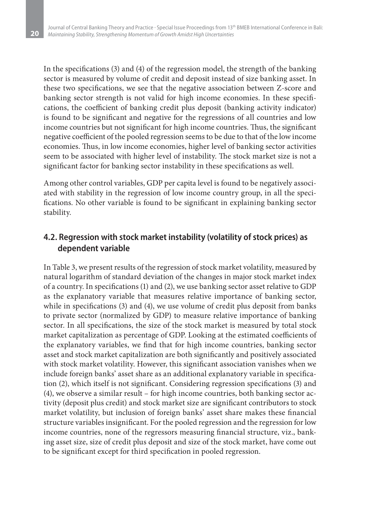**20**

In the specifications (3) and (4) of the regression model, the strength of the banking sector is measured by volume of credit and deposit instead of size banking asset. In these two specifications, we see that the negative association between Z-score and banking sector strength is not valid for high income economies. In these specifications, the coefficient of banking credit plus deposit (banking activity indicator) is found to be significant and negative for the regressions of all countries and low income countries but not significant for high income countries. Thus, the significant negative coefficient of the pooled regression seems to be due to that of the low income economies. Thus, in low income economies, higher level of banking sector activities seem to be associated with higher level of instability. The stock market size is not a significant factor for banking sector instability in these specifications as well.

Among other control variables, GDP per capita level is found to be negatively associated with stability in the regression of low income country group, in all the specifications. No other variable is found to be significant in explaining banking sector stability.

### **4.2. Regression with stock market instability (volatility of stock prices) as dependent variable**

In Table 3, we present results of the regression of stock market volatility, measured by natural logarithm of standard deviation of the changes in major stock market index of a country. In specifications (1) and (2), we use banking sector asset relative to GDP as the explanatory variable that measures relative importance of banking sector, while in specifications (3) and (4), we use volume of credit plus deposit from banks to private sector (normalized by GDP) to measure relative importance of banking sector. In all specifications, the size of the stock market is measured by total stock market capitalization as percentage of GDP. Looking at the estimated coefficients of the explanatory variables, we find that for high income countries, banking sector asset and stock market capitalization are both significantly and positively associated with stock market volatility. However, this significant association vanishes when we include foreign banks' asset share as an additional explanatory variable in specification (2), which itself is not significant. Considering regression specifications (3) and (4), we observe a similar result – for high income countries, both banking sector activity (deposit plus credit) and stock market size are significant contributors to stock market volatility, but inclusion of foreign banks' asset share makes these financial structure variables insignificant. For the pooled regression and the regression for low income countries, none of the regressors measuring financial structure, viz., banking asset size, size of credit plus deposit and size of the stock market, have come out to be significant except for third specification in pooled regression.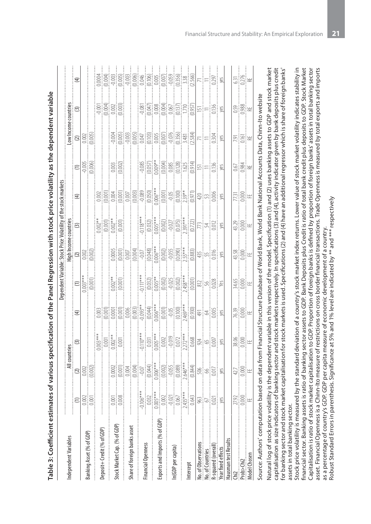|                                |                                                                                      |                                                                                                                                                                                                                                                                                             |                                                                                                                                                                                                                                                                             |               | Dependent Variable: Stock Price Volatility of the stock markets |                    |                       |                             |                       |    |                                                              |                               |
|--------------------------------|--------------------------------------------------------------------------------------|---------------------------------------------------------------------------------------------------------------------------------------------------------------------------------------------------------------------------------------------------------------------------------------------|-----------------------------------------------------------------------------------------------------------------------------------------------------------------------------------------------------------------------------------------------------------------------------|---------------|-----------------------------------------------------------------|--------------------|-----------------------|-----------------------------|-----------------------|----|--------------------------------------------------------------|-------------------------------|
| Independent Variables          |                                                                                      |                                                                                                                                                                                                                                                                                             | All countries                                                                                                                                                                                                                                                               |               |                                                                 |                    | High Income countries |                             |                       |    |                                                              |                               |
|                                | $\widehat{c}$                                                                        | $\odot$                                                                                                                                                                                                                                                                                     | $\odot$                                                                                                                                                                                                                                                                     | $\bigoplus$   | $\widehat{\equiv}$                                              |                    | $\odot$               | $\bigoplus$                 | $\widehat{c}$         |    | Low Income countries<br>(2)<br>$(3)$<br>$(0.002)$<br>(0.005) | $\widehat{E}$                 |
|                                |                                                                                      |                                                                                                                                                                                                                                                                                             |                                                                                                                                                                                                                                                                             |               |                                                                 |                    |                       |                             |                       |    |                                                              |                               |
| Banking Asset (% of GDP)       | $\begin{tabular}{ c c } \hline \hline 0.001 \\ \hline 0.001 \\ \hline \end{tabular}$ | $0.002$<br>$(0.002)$                                                                                                                                                                                                                                                                        |                                                                                                                                                                                                                                                                             |               | $0.003***$                                                      | $\frac{1}{2}$      |                       |                             | $-0.005$<br>$(0.006)$ |    |                                                              |                               |
|                                |                                                                                      |                                                                                                                                                                                                                                                                                             |                                                                                                                                                                                                                                                                             |               |                                                                 |                    |                       |                             |                       |    |                                                              |                               |
| Deposit+ Credit (% of GDP)     |                                                                                      |                                                                                                                                                                                                                                                                                             |                                                                                                                                                                                                                                                                             |               |                                                                 |                    |                       |                             |                       |    |                                                              |                               |
|                                | $\frac{1}{2}$<br>į                                                                   | $\begin{bmatrix} 100000 \\ 101001 \\ 10004 \\ 101004 \\ 101004 \\ 101004 \\ 101004 \\ 101004 \\ 101004 \\ 101004 \\ 101004 \\ 101004 \\ 101004 \\ 101004 \\ 101004 \\ 101004 \\ 101000 \\ 101000 \\ 101000 \\ 101000 \\ 101000 \\ 101000 \\ 101000 \\ 101000 \\ 101000 \\ 101000 \\ 101000$ |                                                                                                                                                                                                                                                                             |               | $\frac{1}{(0.001)}$                                             |                    |                       |                             |                       |    |                                                              |                               |
| Stock Market Cap. (% of GDP)   |                                                                                      |                                                                                                                                                                                                                                                                                             |                                                                                                                                                                                                                                                                             |               |                                                                 |                    |                       |                             | $0.003$<br>$(0.002)$  |    |                                                              |                               |
|                                |                                                                                      |                                                                                                                                                                                                                                                                                             |                                                                                                                                                                                                                                                                             |               |                                                                 |                    |                       |                             |                       |    |                                                              |                               |
| Share of foreign banks asset   |                                                                                      |                                                                                                                                                                                                                                                                                             |                                                                                                                                                                                                                                                                             |               |                                                                 |                    |                       |                             |                       |    |                                                              |                               |
|                                |                                                                                      |                                                                                                                                                                                                                                                                                             |                                                                                                                                                                                                                                                                             |               |                                                                 |                    |                       |                             |                       |    |                                                              |                               |
| inancial Openness              |                                                                                      |                                                                                                                                                                                                                                                                                             | $\begin{tabular}{ c c c c } \hline \hline 1100+100 & 0.000 & 0.000 & 0.000 & 0.000 & 0.000 & 0.000 & 0.000 & 0.000 & 0.000 & 0.000 & 0.000 & 0.000 & 0.000 & 0.000 & 0.000 & 0.000 & 0.000 & 0.000 & 0.000 & 0.000 & 0.000 & 0.000 & 0.000 & 0.000 & 0.000 & 0.000 & 0.000$ |               |                                                                 |                    |                       |                             |                       |    |                                                              |                               |
|                                |                                                                                      |                                                                                                                                                                                                                                                                                             |                                                                                                                                                                                                                                                                             |               |                                                                 |                    |                       |                             |                       |    |                                                              |                               |
| Exports and Imports (% of GDP) |                                                                                      |                                                                                                                                                                                                                                                                                             |                                                                                                                                                                                                                                                                             |               |                                                                 |                    |                       |                             |                       |    |                                                              |                               |
|                                |                                                                                      |                                                                                                                                                                                                                                                                                             |                                                                                                                                                                                                                                                                             |               |                                                                 |                    |                       |                             |                       |    |                                                              |                               |
| n(GDP per capita)              |                                                                                      |                                                                                                                                                                                                                                                                                             |                                                                                                                                                                                                                                                                             |               |                                                                 |                    |                       |                             |                       |    |                                                              |                               |
|                                |                                                                                      |                                                                                                                                                                                                                                                                                             |                                                                                                                                                                                                                                                                             |               |                                                                 |                    |                       |                             |                       |    |                                                              |                               |
| ntercept                       |                                                                                      |                                                                                                                                                                                                                                                                                             |                                                                                                                                                                                                                                                                             |               |                                                                 |                    |                       |                             |                       |    |                                                              |                               |
| <b>Jo.</b> of Observations     |                                                                                      |                                                                                                                                                                                                                                                                                             |                                                                                                                                                                                                                                                                             |               |                                                                 |                    |                       |                             |                       |    |                                                              |                               |
| lo. of Countries               |                                                                                      |                                                                                                                                                                                                                                                                                             |                                                                                                                                                                                                                                                                             |               |                                                                 |                    |                       |                             |                       |    |                                                              |                               |
| R-squared (overall)            |                                                                                      |                                                                                                                                                                                                                                                                                             |                                                                                                                                                                                                                                                                             |               |                                                                 |                    |                       |                             |                       |    |                                                              | $\kappa$ $=$ $\frac{55}{3}$ s |
| Year fixed effects             |                                                                                      |                                                                                                                                                                                                                                                                                             |                                                                                                                                                                                                                                                                             |               |                                                                 |                    |                       |                             |                       |    |                                                              |                               |
| Hausman test Results           |                                                                                      |                                                                                                                                                                                                                                                                                             |                                                                                                                                                                                                                                                                             |               |                                                                 |                    |                       |                             |                       |    |                                                              |                               |
|                                |                                                                                      |                                                                                                                                                                                                                                                                                             |                                                                                                                                                                                                                                                                             |               |                                                                 |                    |                       |                             |                       |    |                                                              |                               |
| 200                            | 238<br>이후<br>11                                                                      | 오! 이 보                                                                                                                                                                                                                                                                                      | 818]<br>2010:                                                                                                                                                                                                                                                               | $\frac{1}{2}$ | 옆[s]<br>제임                                                      | 요?<br>418일<br>418일 | 있음<br>성음              | $\mathbb{E}[\mathbb{S}]$ if | 영화                    | 회원 | <u>အျွံနွူး</u>                                              | 일었는                           |
| <b>Aodel Chosen</b>            |                                                                                      |                                                                                                                                                                                                                                                                                             |                                                                                                                                                                                                                                                                             |               |                                                                 |                    |                       |                             |                       |    |                                                              |                               |
| Source: Authors' computati     |                                                                                      | on based on data from Financial Structure Database of World Bank, World Bank National Accounts Data, Chinn-Ito website                                                                                                                                                                      |                                                                                                                                                                                                                                                                             |               |                                                                 |                    |                       |                             |                       |    |                                                              |                               |

Table 3: Coefficient estimates of various specification of the Panel Regression with stock price volatility as the dependent variable **Table 3: Coefficient estimates of various specification of the Panel Regression with stock price volatility as the dependent variable** Natural log of stock price volatility is the dependent variable in this version of the model. Specification (1) and (2) uses banking assets to GDP and stock market Natural log of stock price volatility is the dependent variable in this version of the model. Specification (1) and (2) uses banking assets to GDP and stock market capitalisation as size indicators of banking sector and stock markets respectively. In specifications (3) and (4), activity indicator given by bank deposits plus credit capitalisation as size indicators of banking sector and stock markets respectively. In specifications (3) and (4), activity indicator given by bank deposits plus credit for banking sector and stock market capitalisation for stock markets is used. Specifications (2) and (4) have an additional regressor which is share of foreign banks' for banking sector and stock market capitalisation for stock markets is used. Specifications (2) and (4) have an additional regressor which is share of foreign banks' assets in total banking sector. assets in total banking sector.

Stock price volatility is measured by the standard deviation of a country's stock market index returns. Lower value of stock market volatility indicates stability in Stock price volatility is measured by the standard deviation of a country's stock market index returns. Lower value of stock market volatility indicates stability in financial sector. Banking assets is ratio of banking sector assets to GDP. Bank Deposits plus Credit is ratio of total bank credit plus deposits to GDP. Stock Market financial sector. Banking assets is ratio of banking sector assets to GDP. Bank Deposits plus Credit is ratio of total bank credit plus deposits to GDP. Stock Market Capitalisation is ratio of stock market capitalisation to GDP. Proportion of foreign banks is defined by proportion of foreign banks' assets in total banking sector Capitalisation is ratio of stock market capitalisation to GDP. Proportion of foreign banks is defined by proportion of foreign banks' assets in total banking sector asset. Financial Openness is a Chinn-Ito measure of restrictions on cross border financial transactions. Trade Openness is measured by total exports and imports asset. Financial Openness is a Chinn-Ito measure of restrictions on cross border financial transactions. Trade Openness is measured by total exports and imports Robust Standard Errors in parenthesis. Significance at 5% and 1% level are indicated by \*\* and \*\*\* respectively as a percentage of country's GDP. GDP per capita measure of economic development of a country. as a percentage of country's GDP. GDP per capita measure of economic development of a country.

Robust Standard Errors in parenthesis. Significance at 5% and 1% level are indicated by \*\* and \*\*\* respectively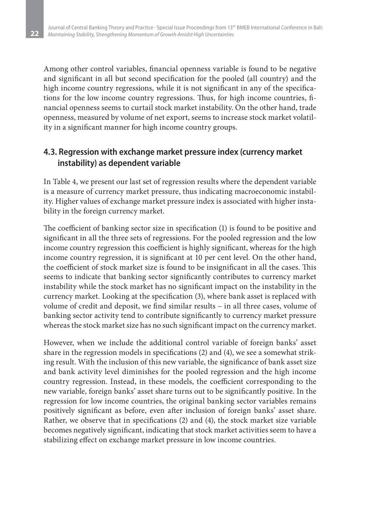Among other control variables, financial openness variable is found to be negative and significant in all but second specification for the pooled (all country) and the high income country regressions, while it is not significant in any of the specifications for the low income country regressions. Thus, for high income countries, financial openness seems to curtail stock market instability. On the other hand, trade openness, measured by volume of net export, seems to increase stock market volatility in a significant manner for high income country groups.

### **4.3. Regression with exchange market pressure index (currency market instability) as dependent variable**

In Table 4, we present our last set of regression results where the dependent variable is a measure of currency market pressure, thus indicating macroeconomic instability. Higher values of exchange market pressure index is associated with higher instability in the foreign currency market.

The coefficient of banking sector size in specification (1) is found to be positive and significant in all the three sets of regressions. For the pooled regression and the low income country regression this coefficient is highly significant, whereas for the high income country regression, it is significant at 10 per cent level. On the other hand, the coefficient of stock market size is found to be insignificant in all the cases. This seems to indicate that banking sector significantly contributes to currency market instability while the stock market has no significant impact on the instability in the currency market. Looking at the specification (3), where bank asset is replaced with volume of credit and deposit, we find similar results – in all three cases, volume of banking sector activity tend to contribute significantly to currency market pressure whereas the stock market size has no such significant impact on the currency market.

However, when we include the additional control variable of foreign banks' asset share in the regression models in specifications (2) and (4), we see a somewhat striking result. With the inclusion of this new variable, the significance of bank asset size and bank activity level diminishes for the pooled regression and the high income country regression. Instead, in these models, the coefficient corresponding to the new variable, foreign banks' asset share turns out to be significantly positive. In the regression for low income countries, the original banking sector variables remains positively significant as before, even after inclusion of foreign banks' asset share. Rather, we observe that in specifications (2) and (4), the stock market size variable becomes negatively significant, indicating that stock market activities seem to have a stabilizing effect on exchange market pressure in low income countries.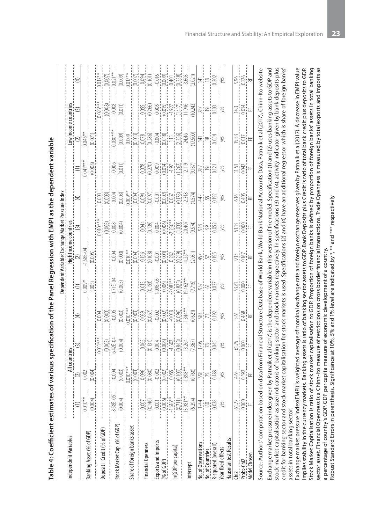|                                                                                                                                                                                                                                                                                                                                                                 |                                                                                                                                                                                                                                                                           |                                                 |               |      |                                                        | Dependent Variable: Exchange Market Pressure Index    |                                                                                                                                                                                                                                                                          |                         |                          |                                                             |                   |             |
|-----------------------------------------------------------------------------------------------------------------------------------------------------------------------------------------------------------------------------------------------------------------------------------------------------------------------------------------------------------------|---------------------------------------------------------------------------------------------------------------------------------------------------------------------------------------------------------------------------------------------------------------------------|-------------------------------------------------|---------------|------|--------------------------------------------------------|-------------------------------------------------------|--------------------------------------------------------------------------------------------------------------------------------------------------------------------------------------------------------------------------------------------------------------------------|-------------------------|--------------------------|-------------------------------------------------------------|-------------------|-------------|
| Independent Variables                                                                                                                                                                                                                                                                                                                                           |                                                                                                                                                                                                                                                                           |                                                 | All countries |      |                                                        |                                                       |                                                                                                                                                                                                                                                                          |                         |                          | ow Income countries                                         |                   |             |
|                                                                                                                                                                                                                                                                                                                                                                 |                                                                                                                                                                                                                                                                           | $\Omega$                                        | $\odot$       | (年)  |                                                        |                                                       |                                                                                                                                                                                                                                                                          | $\widehat{\mathcal{F}}$ | $\frac{(1)}{(0.041***)}$ |                                                             | $\odot$           | €           |
|                                                                                                                                                                                                                                                                                                                                                                 |                                                                                                                                                                                                                                                                           |                                                 |               |      |                                                        |                                                       |                                                                                                                                                                                                                                                                          |                         |                          |                                                             |                   |             |
| Banking Asset (% of GDP)                                                                                                                                                                                                                                                                                                                                        | $\frac{1}{\frac{1}{20004}}$                                                                                                                                                                                                                                               | 0.001                                           |               |      | $=$ $\frac{1}{2}$                                      | High Income countries<br>(2)<br>-1.58E-04<br>-0.0005) |                                                                                                                                                                                                                                                                          |                         | (0.008)                  | $\frac{2}{\frac{1}{2} \cdot \frac{1}{2} \cdot \frac{1}{2}}$ |                   |             |
|                                                                                                                                                                                                                                                                                                                                                                 |                                                                                                                                                                                                                                                                           |                                                 |               |      |                                                        |                                                       |                                                                                                                                                                                                                                                                          |                         |                          |                                                             |                   |             |
| Deposit+ Credit (% of GDP)                                                                                                                                                                                                                                                                                                                                      |                                                                                                                                                                                                                                                                           |                                                 |               |      |                                                        |                                                       |                                                                                                                                                                                                                                                                          |                         |                          |                                                             |                   |             |
|                                                                                                                                                                                                                                                                                                                                                                 | 3.58E-05<br>0.004)                                                                                                                                                                                                                                                        |                                                 |               |      | $\begin{bmatrix} 1.716 - 0.005 \\ 0.005 \end{bmatrix}$ |                                                       |                                                                                                                                                                                                                                                                          |                         | ieisi<br>Pisi            |                                                             |                   |             |
| Stock Market Cap. (% of GDP) $\cdots$                                                                                                                                                                                                                                                                                                                           |                                                                                                                                                                                                                                                                           |                                                 |               |      |                                                        |                                                       |                                                                                                                                                                                                                                                                          |                         |                          |                                                             |                   |             |
|                                                                                                                                                                                                                                                                                                                                                                 |                                                                                                                                                                                                                                                                           |                                                 |               |      |                                                        |                                                       |                                                                                                                                                                                                                                                                          |                         |                          |                                                             |                   |             |
| Share of foreign banks asset                                                                                                                                                                                                                                                                                                                                    |                                                                                                                                                                                                                                                                           |                                                 |               |      |                                                        |                                                       |                                                                                                                                                                                                                                                                          |                         |                          |                                                             |                   |             |
|                                                                                                                                                                                                                                                                                                                                                                 |                                                                                                                                                                                                                                                                           |                                                 |               |      |                                                        |                                                       |                                                                                                                                                                                                                                                                          |                         |                          |                                                             |                   |             |
| inancial Openness                                                                                                                                                                                                                                                                                                                                               |                                                                                                                                                                                                                                                                           |                                                 |               |      |                                                        |                                                       |                                                                                                                                                                                                                                                                          |                         |                          |                                                             |                   |             |
|                                                                                                                                                                                                                                                                                                                                                                 |                                                                                                                                                                                                                                                                           |                                                 |               |      |                                                        |                                                       |                                                                                                                                                                                                                                                                          |                         |                          |                                                             |                   |             |
| Exports and Imports<br>(% of GDP)                                                                                                                                                                                                                                                                                                                               |                                                                                                                                                                                                                                                                           |                                                 |               |      |                                                        |                                                       |                                                                                                                                                                                                                                                                          |                         |                          |                                                             |                   |             |
|                                                                                                                                                                                                                                                                                                                                                                 |                                                                                                                                                                                                                                                                           |                                                 |               |      |                                                        |                                                       |                                                                                                                                                                                                                                                                          |                         |                          |                                                             |                   |             |
| n(GDP per capita)                                                                                                                                                                                                                                                                                                                                               |                                                                                                                                                                                                                                                                           |                                                 |               |      |                                                        |                                                       |                                                                                                                                                                                                                                                                          |                         |                          |                                                             |                   |             |
|                                                                                                                                                                                                                                                                                                                                                                 |                                                                                                                                                                                                                                                                           |                                                 |               |      |                                                        |                                                       |                                                                                                                                                                                                                                                                          |                         |                          |                                                             |                   |             |
| ntercept                                                                                                                                                                                                                                                                                                                                                        |                                                                                                                                                                                                                                                                           |                                                 |               |      |                                                        |                                                       |                                                                                                                                                                                                                                                                          |                         |                          |                                                             |                   |             |
| <b>Vo.</b> of Observations                                                                                                                                                                                                                                                                                                                                      |                                                                                                                                                                                                                                                                           |                                                 |               |      |                                                        |                                                       |                                                                                                                                                                                                                                                                          |                         |                          |                                                             |                   |             |
| <b>Vo. of Countries</b>                                                                                                                                                                                                                                                                                                                                         |                                                                                                                                                                                                                                                                           |                                                 |               |      |                                                        |                                                       |                                                                                                                                                                                                                                                                          |                         |                          |                                                             |                   |             |
| R-squared (overall)<br>Year fixed effects                                                                                                                                                                                                                                                                                                                       | $\begin{tabular}{ c c c c c } \hline & 0.001 & 0.001 & 0.001 & 0.001 & 0.001 & 0.001 & 0.001 & 0.001 & 0.001 & 0.001 & 0.001 & 0.001 & 0.001 & 0.001 & 0.001 & 0.001 & 0.001 & 0.001 & 0.001 & 0.001 & 0.001 & 0.001 & 0.001 & 0.001 & 0.001 & 0.001 & 0.001 & 0.001 & 0$ |                                                 |               |      |                                                        |                                                       | $\begin{tabular}{ c c c c c } \hline 0.004 & 0.004 & 0.004 & 0.004 & 0.004 & 0.004 & 0.004 & 0.004 & 0.004 & 0.004 & 0.004 & 0.004 & 0.004 & 0.004 & 0.004 & 0.004 & 0.004 & 0.004 & 0.004 & 0.004 & 0.004 & 0.004 & 0.004 & 0.004 & 0.004 & 0.004 & 0.004 & 0.004 & 0.$ |                         |                          |                                                             |                   |             |
|                                                                                                                                                                                                                                                                                                                                                                 |                                                                                                                                                                                                                                                                           |                                                 |               |      |                                                        |                                                       |                                                                                                                                                                                                                                                                          |                         |                          |                                                             |                   |             |
| Hausman test Results                                                                                                                                                                                                                                                                                                                                            |                                                                                                                                                                                                                                                                           |                                                 |               |      |                                                        |                                                       |                                                                                                                                                                                                                                                                          |                         |                          |                                                             |                   |             |
|                                                                                                                                                                                                                                                                                                                                                                 |                                                                                                                                                                                                                                                                           |                                                 |               |      |                                                        |                                                       |                                                                                                                                                                                                                                                                          |                         |                          |                                                             |                   |             |
| Sup>cpo <sub>c</sub>                                                                                                                                                                                                                                                                                                                                            | $\frac{2}{2}$                                                                                                                                                                                                                                                             | $rac{3}{2}$ $rac{3}{2}$ $rac{3}{2}$ $rac{1}{2}$ | 전흥<br>이후      | 일종 동 | 요!용!<br>없음!                                            | $\frac{1}{2}$                                         | eig¦<br>Eigi⊭                                                                                                                                                                                                                                                            | 위형 두                    | 필용                       | $\frac{55}{25}$                                             | 일흥 <mark>!</mark> | श्री हैं  स |
| <b>Model Chosen</b>                                                                                                                                                                                                                                                                                                                                             |                                                                                                                                                                                                                                                                           |                                                 |               |      |                                                        |                                                       |                                                                                                                                                                                                                                                                          |                         |                          |                                                             |                   |             |
| Source: Authors' computation based on data from Financial Structure Database of World Bank, World Bank National Accounts Data, Patnaik et al (2017), Chinn-Ito website                                                                                                                                                                                          |                                                                                                                                                                                                                                                                           |                                                 |               |      |                                                        |                                                       |                                                                                                                                                                                                                                                                          |                         |                          |                                                             |                   |             |
|                                                                                                                                                                                                                                                                                                                                                                 |                                                                                                                                                                                                                                                                           |                                                 |               |      |                                                        |                                                       |                                                                                                                                                                                                                                                                          |                         |                          |                                                             |                   |             |
| Exchange market pressure index given by Patnaik et al (2017) is the dependent variable in this version of the model. Specification (1) and (2) uses banking assets to GDP and<br>to the market capitalisation as size indicators of banking sector and trock markets respectively. In specifications (3) and (4) activity indicator given by bank deposits plus |                                                                                                                                                                                                                                                                           |                                                 |               |      |                                                        |                                                       |                                                                                                                                                                                                                                                                          |                         |                          |                                                             |                   |             |
|                                                                                                                                                                                                                                                                                                                                                                 |                                                                                                                                                                                                                                                                           |                                                 |               |      |                                                        |                                                       |                                                                                                                                                                                                                                                                          |                         |                          |                                                             |                   |             |

Table 4: Coefficient estimates of various specification of the Panel Regression with EMPI as the dependent variable **Table 4: Coefficient estimates of various specification of the Panel Regression with EMPI as the dependent variable** stock market capitalisation as size indicators of banking sector and stock markets respectively. In specifications (3) and (4), activity indicator given by bank deposits plus stock market capitalisation as size indicators of banking sector and stock markets respectively. In specifications (3) and (4), activity indicator given by bank deposits plus<br>credit for banking sector and stock market capi credit for banking sector and stock market capitalisation for stock markets is used. Specifications (2) and (4) have an additional regressor which is share of foreign banks' assets in total banking sector. assets in total banking sector.

sector asset. Financial Openness is a Chinn-Ito measure of restrictions on cross border financial transactions. Trade Openness is measured by total exports and imports as Exchange market pressure index(EMPI) is weighted average of nominal exchange rate and foreign exchange reserves given by Patnaik et al(2017). A decrease in EMPI value Stock Market Capitalisation is ratio of stock market capitalisation to GDP. Proportion of foreign banks is defined by proportion of foreign banks' assets in total banking Exchange market pressure index(EMPI) is weighted average of nominal exchange rate and foreign exchange reserves given by Patnaik et al(2017). A decrease in EMPI value implies stability in the currency markets. Banking assets is ratio of banking sector assets to GDP. Bank Deposits plus Credit is ratio of total bank credit plus deposits to GDP. implies stability in the currency markets. Banking assets is ratio of banking sector assets to GDP. Bank Deposits plus Credit is ratio of total bank credit plus deposits to GDP. Stock Market Capitalisation is ratio of stock market capitalisation to GDP. Proportion of foreign banks is defined by proportion of foreign banks' assets in total banking sector asset. Financial Openness is a Chinn-Ito measure of restrictions on cross border financial transactions. Trade Openness is measured by total exports and imports as a percentage of country's GDP. GDP per capita measure of economic development of a country.<br>Robust Standard Errors in parenthesis. Significance at 10%, 5% and 1% level are indicated by \*, \*\* and \*\*\* respectively a percentage of country's GDP. GDP per capita measure of economic development of a country.

Robust Standard Errors in parenthesis. Significance at 10%, 5% and 1% level are indicated by \*, \*\* and \*\*\* respectively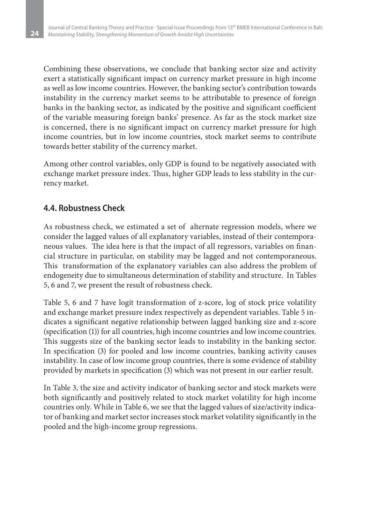Combining these observations, we conclude that banking sector size and activity exert a statistically significant impact on currency market pressure in high income as well as low income countries. However, the banking sector's contribution towards instability in the currency market seems to be attributable to presence of foreign banks in the banking sector, as indicated by the positive and significant coefficient of the variable measuring foreign banks' presence. As far as the stock market size is concerned, there is no significant impact on currency market pressure for high income countries, but in low income countries, stock market seems to contribute towards better stability of the currency market.

Among other control variables, only GDP is found to be negatively associated with exchange market pressure index. Thus, higher GDP leads to less stability in the currency market.

### **4.4. Robustness Check**

**24**

As robustness check, we estimated a set of alternate regression models, where we consider the lagged values of all explanatory variables, instead of their contemporaneous values. The idea here is that the impact of all regressors, variables on financial structure in particular, on stability may be lagged and not contemporaneous. This transformation of the explanatory variables can also address the problem of endogeneity due to simultaneous determination of stability and structure. In Tables 5, 6 and 7, we present the result of robustness check.

Table 5, 6 and 7 have logit transformation of z-score, log of stock price volatility and exchange market pressure index respectively as dependent variables. Table 5 indicates a significant negative relationship between lagged banking size and z-score (specification (1)) for all countries, high income countries and low income countries. This suggests size of the banking sector leads to instability in the banking sector. In specification (3) for pooled and low income countries, banking activity causes instability. In case of low income group countries, there is some evidence of stability provided by markets in specification (3) which was not present in our earlier result.

In Table 3, the size and activity indicator of banking sector and stock markets were both significantly and positively related to stock market volatility for high income countries only. While in Table 6, we see that the lagged values of size/activity indicator of banking and market sector increases stock market volatility significantly in the pooled and the high-income group regressions.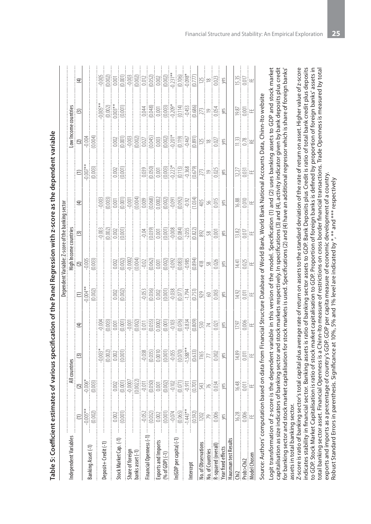|                                           |                                                                                                                                                                                                                                                                                                     |                       |                  |             |                                                                                                                                                                                            | Dependent Variable: Z-score of the ban                     |                                                                                                                                                                                                                        | ng sector |                                              |                                                    |                                                 |                         |
|-------------------------------------------|-----------------------------------------------------------------------------------------------------------------------------------------------------------------------------------------------------------------------------------------------------------------------------------------------------|-----------------------|------------------|-------------|--------------------------------------------------------------------------------------------------------------------------------------------------------------------------------------------|------------------------------------------------------------|------------------------------------------------------------------------------------------------------------------------------------------------------------------------------------------------------------------------|-----------|----------------------------------------------|----------------------------------------------------|-------------------------------------------------|-------------------------|
| ndependent Variables                      |                                                                                                                                                                                                                                                                                                     | All countries         |                  |             |                                                                                                                                                                                            | <b>High Income countries</b><br>(2)<br>$-0.005$<br>(0.003) |                                                                                                                                                                                                                        |           |                                              |                                                    |                                                 |                         |
|                                           |                                                                                                                                                                                                                                                                                                     |                       | $\odot$          | $\bigoplus$ |                                                                                                                                                                                            |                                                            |                                                                                                                                                                                                                        | $\oplus$  |                                              | Low Income countries<br>(2)<br>$-0.004$<br>(0.004) |                                                 | $\widehat{\mathcal{F}}$ |
|                                           | $-0.005**$                                                                                                                                                                                                                                                                                          |                       |                  |             | $\begin{tabular}{c} 0\\ \hline 1\\ 0\\ 0\\ 0\\ 0\\ 0\\ \end{tabular}$                                                                                                                      |                                                            |                                                                                                                                                                                                                        |           | $\frac{1}{\frac{1}{2000}}$                   |                                                    |                                                 |                         |
| Banking Asset (-1)                        | (1002)                                                                                                                                                                                                                                                                                              |                       |                  |             |                                                                                                                                                                                            |                                                            |                                                                                                                                                                                                                        |           |                                              |                                                    |                                                 |                         |
| Deposit+ Credit (-1)                      |                                                                                                                                                                                                                                                                                                     |                       |                  |             |                                                                                                                                                                                            |                                                            |                                                                                                                                                                                                                        |           |                                              |                                                    |                                                 |                         |
|                                           |                                                                                                                                                                                                                                                                                                     |                       |                  |             |                                                                                                                                                                                            |                                                            |                                                                                                                                                                                                                        |           |                                              |                                                    |                                                 |                         |
| Stock Market Cap. (-1)                    | $0.002$                                                                                                                                                                                                                                                                                             |                       |                  |             |                                                                                                                                                                                            |                                                            |                                                                                                                                                                                                                        |           |                                              |                                                    |                                                 |                         |
|                                           | (0.001)                                                                                                                                                                                                                                                                                             |                       |                  |             | $\frac{1}{(0.002)}$                                                                                                                                                                        |                                                            |                                                                                                                                                                                                                        |           |                                              |                                                    |                                                 |                         |
|                                           |                                                                                                                                                                                                                                                                                                     |                       |                  |             |                                                                                                                                                                                            |                                                            |                                                                                                                                                                                                                        |           |                                              |                                                    |                                                 |                         |
| Share of foreign<br>banks asset (-1)      |                                                                                                                                                                                                                                                                                                     |                       |                  |             |                                                                                                                                                                                            |                                                            |                                                                                                                                                                                                                        |           |                                              |                                                    |                                                 |                         |
| inancial Openness (-1) -                  |                                                                                                                                                                                                                                                                                                     |                       |                  |             |                                                                                                                                                                                            |                                                            |                                                                                                                                                                                                                        |           |                                              |                                                    |                                                 |                         |
|                                           | $\begin{bmatrix} 0.052 \\ 0.032 \\ 0.000 \\ 0.0001 \\ 0.0001 \\ 0.0051 \\ 0.0591 \\ 0.592 \\ 0.592 \\ 0.592 \\ 0.592 \\ 0.592 \\ 0.592 \\ 0.592 \\ 0.592 \\ 0.592 \\ 0.592 \\ 0.592 \\ 0.593 \\ 0.593 \\ 0.593 \\ 0.593 \\ 0.593 \\ 0.593 \\ 0.593 \\ 0.593 \\ 0.593 \\ 0.593 \\ 0.593 \\ 0.593 \\$ |                       |                  |             | $\begin{tabular}{ c c c c c } \hline 0.051 & 0.0000 & 0.0000 & 0.0000 \\ \hline 0.0000 & 0.00000 & 0.00000 & 0.0000 \\ \hline 0.0000 & 0.00000 & 0.00000 & 0.0000 \\ \hline \end{tabular}$ |                                                            | $\begin{tabular}{ c c c c c } \hline 161 & 0.0000 & 0.0000 & 0.0000 \\ \hline 161 & 0.0000 & 0.0000 & 0.0000 \\ 0.0000 & 0.0000 & 0.0000 & 0.0000 \\ \hline 0.0000 & 0.0000 & 0.0000 & 0.0000 \\ \hline \end{tabular}$ |           |                                              |                                                    |                                                 |                         |
|                                           |                                                                                                                                                                                                                                                                                                     |                       |                  |             |                                                                                                                                                                                            |                                                            |                                                                                                                                                                                                                        |           |                                              |                                                    |                                                 |                         |
| Exports and Imports<br>(% of GDP) (-1)    |                                                                                                                                                                                                                                                                                                     |                       |                  |             |                                                                                                                                                                                            |                                                            |                                                                                                                                                                                                                        |           |                                              |                                                    |                                                 |                         |
|                                           |                                                                                                                                                                                                                                                                                                     |                       |                  |             |                                                                                                                                                                                            |                                                            |                                                                                                                                                                                                                        |           |                                              |                                                    |                                                 |                         |
| n(GDP per capita) (-1)                    |                                                                                                                                                                                                                                                                                                     |                       |                  |             |                                                                                                                                                                                            |                                                            |                                                                                                                                                                                                                        |           |                                              |                                                    |                                                 |                         |
|                                           |                                                                                                                                                                                                                                                                                                     |                       |                  |             |                                                                                                                                                                                            |                                                            |                                                                                                                                                                                                                        |           |                                              |                                                    |                                                 |                         |
| ntercept                                  |                                                                                                                                                                                                                                                                                                     |                       |                  |             |                                                                                                                                                                                            |                                                            |                                                                                                                                                                                                                        |           |                                              |                                                    |                                                 |                         |
| <b>Vo.</b> of Observations                | 1202                                                                                                                                                                                                                                                                                                |                       |                  |             |                                                                                                                                                                                            |                                                            |                                                                                                                                                                                                                        |           |                                              |                                                    |                                                 |                         |
| lo. of Countries                          |                                                                                                                                                                                                                                                                                                     |                       |                  |             |                                                                                                                                                                                            |                                                            |                                                                                                                                                                                                                        |           |                                              |                                                    |                                                 |                         |
| R-squared (overall)<br>Year fixed effects | $rac{06}{10}$                                                                                                                                                                                                                                                                                       |                       |                  |             |                                                                                                                                                                                            |                                                            |                                                                                                                                                                                                                        |           |                                              |                                                    |                                                 |                         |
|                                           |                                                                                                                                                                                                                                                                                                     |                       |                  |             |                                                                                                                                                                                            |                                                            |                                                                                                                                                                                                                        |           |                                              |                                                    |                                                 |                         |
| Hausman test Results                      |                                                                                                                                                                                                                                                                                                     |                       |                  |             |                                                                                                                                                                                            |                                                            |                                                                                                                                                                                                                        |           |                                              |                                                    |                                                 |                         |
|                                           | 16.28                                                                                                                                                                                                                                                                                               |                       |                  |             |                                                                                                                                                                                            |                                                            |                                                                                                                                                                                                                        |           |                                              |                                                    |                                                 |                         |
| Prob>Chi2                                 | 0.006                                                                                                                                                                                                                                                                                               | $\frac{16.48}{10011}$ | $\frac{188}{15}$ |             | 의 등<br>기                                                                                                                                                                                   | $144$<br>$002$<br>E                                        | $\frac{2}{2}$ $\frac{2}{2}$ $\frac{1}{2}$ $\frac{1}{2}$                                                                                                                                                                | SIS H     | $\frac{27}{2}$ $\frac{25}{2}$ $\frac{12}{2}$ | 있습.<br>금요                                          | $\frac{25}{20}$ $\frac{25}{20}$ $\frac{10}{20}$ | $\frac{153}{200}$ H     |
| <b>Model Chosen</b>                       |                                                                                                                                                                                                                                                                                                     |                       |                  |             |                                                                                                                                                                                            |                                                            |                                                                                                                                                                                                                        |           |                                              |                                                    |                                                 |                         |
|                                           |                                                                                                                                                                                                                                                                                                     |                       |                  |             |                                                                                                                                                                                            |                                                            |                                                                                                                                                                                                                        |           |                                              |                                                    |                                                 |                         |

Table 5: Coefficient estimates of various specification of the Panel Regression with z-score as the dependent variable **Table 5: Coefficient estimates of various specification of the Panel Regression with z-score as the dependent variable** 
> Source: Authors' computation based on data from Financial Structure Database of World Bank, World Bank National Accounts Data, Chinn-Ito website Source: Authors' computation based on data from Financial Structure Database of World Bank, World Bank National Accounts Data, Chinn-Ito website

Logit transformation of z-score is the dependent variable in this version of the model. Specification (1) and (2) uses banking assets to GDP and stock market capitalisation as size indicators of banking sector and stock markets respectively. In specifications (3) and (4), activity indicator given by bank deposits plus credit for banking sector and stock market capitalisation for stock markets is used. Specifications (2) and (4) have an additional regressor which is share of foreign banks' Logit transformation of z-score is the dependent variable in this version of the model. Specification (1) and (2) uses banking assets to GDP and stock market capitalisation as size indicators of banking sector and stock markets respectively. In specifications (3) and (4), activity indicator given by bank deposits plus credit for banking sector and stock market capitalisation for stock markets is used. Specifications (2) and (4) have an additional regressor which is share of foreign banks' assets in total banking sector. assets in total banking sector.

indicates stability in financial sector. Banking assets is ratio of banking sector assets to GDP. Bank Deposits plus Credit is ratio of total bank credit plus deposits Z-score is ratio of banking sector's total capital plus average rate of return on assets to the standard deviation of the rate of return on asset. Higher value of z-score Z-score is ratio of banking sector's total capital plus average rate of return on assets to the standard deviation of the rate of return on asset. Higher value of z-score indicates stability in financial sector. Banking assets is ratio of banking sector assets to GDP. Bank Deposits plus Credit is ratio of total bank credit plus deposits to GDP. Stock Market Capitalisation is ratio of stock market capitalisation to GDP. Proportion of foreign banks is defined by proportion of foreign banks' assets in to GDP. Stock Market Capitalisation is ratio of stock market capitalisation to GDP. Proportion of foreign banks is defined by proportion of foreign banks' assets in total banking sector asset. Financial Openness is a Chinn-Ito measure of restrictions on cross border financial transactions. Trade Openness is measured by total total banking sector asset. Financial Openness is a Chinn-Ito measure of restrictions on cross border financial transactions. Trade Openness is measured by total exports and imports as a percentage of country's GDP. GDP per capita measure of economic development of a country. exports and imports as a percentage of country's GDP. GDP per capita measure of economic development of a country. Robust Standard Errors in parenthesis. Significance at 10%, 5% and 1% level are indicated by \*, \*\* and \*\*\* respectively Robust Standard Errors in parenthesis. Significance at 10%, 5% and 1% level are indicated by  $^*$ ,  $^{**}$  and  $^{***}$  respectively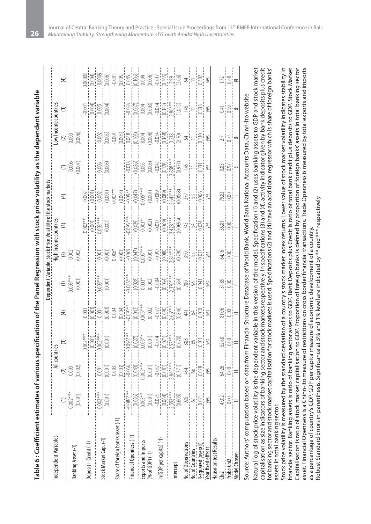| $\frac{1}{2} \frac{1}{2} \frac{1}{2} \frac{1}{2} \frac{1}{2}$<br>$\bigoplus$<br>Low Income countries<br>(2)<br>$(3)$<br>$(0.003)$<br>$(0.006)$<br>질향 ⊭<br>$\frac{27}{25}$<br>$\begin{picture}(130,10) \put(0,0){\line(1,0){15}} \put(15,0){\line(1,0){15}} \put(15,0){\line(1,0){15}} \put(15,0){\line(1,0){15}} \put(15,0){\line(1,0){15}} \put(15,0){\line(1,0){15}} \put(15,0){\line(1,0){15}} \put(15,0){\line(1,0){15}} \put(15,0){\line(1,0){15}} \put(15,0){\line(1,0){15}} \put(15,0){\line(1,0){15}} \put(15,0){\line($<br>$=$ $\frac{15}{3}$<br>$rac{85}{3}$ =<br>$\begin{bmatrix} 288 \\ -188 \\ -188 \end{bmatrix}$<br>$\bigoplus$<br><b>High Income countries</b><br>(2)<br>0.002<br>0.002)<br>$\begin{tabular}{ c c } \hline & \multicolumn{1}{ c }{\textbf{1}} & \multicolumn{1}{ c }{\textbf{1}} & \multicolumn{1}{ c }{\textbf{1}} & \multicolumn{1}{ c }{\textbf{1}} & \multicolumn{1}{ c }{\textbf{1}} & \multicolumn{1}{ c }{\textbf{1}} & \multicolumn{1}{ c }{\textbf{1}} & \multicolumn{1}{ c }{\textbf{1}} & \multicolumn{1}{ c }{\textbf{1}} & \multicolumn{1}{ c }{\textbf{1}} & \multicolumn{1}{ c }{\textbf{1}} & \multicolumn{1$<br>$\frac{55}{20}$<br>ais ≖<br>ais ≖<br>$\begin{bmatrix} 0.003 & 0.0011 \\ 0.00011 & 0.0011 \end{bmatrix}$<br>$\frac{1}{(0.001)^{***}}$<br>$rac{28}{25}$ $rac{2}{5}$ $rac{1}{1}$ $rac{1}{2}$<br>$\equiv$<br>$\sum_{i=1}^{N} \frac{1}{i} \sum_{j=1}^{N} \frac{1}{i} \sum_{j=1}^{N} \frac{1}{j} \sum_{j=1}^{N} \frac{1}{j} \sum_{j=1}^{N} \frac{1}{j} \sum_{j=1}^{N} \frac{1}{j} \sum_{j=1}^{N} \frac{1}{j} \sum_{j=1}^{N} \frac{1}{j} \sum_{j=1}^{N} \frac{1}{j} \sum_{j=1}^{N} \frac{1}{j} \sum_{j=1}^{N} \frac{1}{j} \sum_{j=1}^{N} \frac{1}{j} \sum_{j=1}^{N} \frac{1}{j$<br>$\widehat{\mathcal{F}}$<br>$\begin{tabular}{ c c c c } \hline \hline & 0.0000 & 0.0000 & 0.0000 & 0.0000 \\ \hline \hline 0.0000 & 0.0000 & 0.0000 & 0.0000 & 0.0000 \\ \hline 0.0000 & 0.0000 & 0.0000 & 0.0000 & 0.0000 \\ \hline \end{tabular}$<br>$\begin{tabular}{ c c } \hline 0.007** \\ \hline 0.001** \\ 0.002** \\ \hline 0.0001* \\ \hline \end{tabular}$<br>$\frac{28}{210}$<br>$\odot$<br>All countries<br>$\begin{bmatrix} 1 & 0 & 0 & 0 & 0 \\ 0 & 0 & 0 & 0 & 0 & 0 \\ 0 & 0 & 0 & 0 & 0 & 0 \\ 0 & 0 & 0 & 0 & 0 & 0 \\ 0 & 0 & 0 & 0 & 0 & 0 \\ 0 & 0 & 0 & 0 & 0 & 0 \\ 0 & 0 & 0 & 0 & 0 & 0 \\ 0 & 0 & 0 & 0 & 0 & 0 \\ 0 & 0 & 0 & 0 & 0 & 0 \\ 0 & 0 & 0 & 0 & 0 & 0 \\ 0 & 0 & 0 & 0 & 0 & 0 \\ 0 & 0 & 0 & 0 & 0 & 0 \\ $<br>$\frac{2}{\frac{1003}{10000}}$<br>$\frac{25}{30}$ = $\frac{10}{15}$<br>$\frac{1}{(0.001)}$<br>$\frac{(1)}{(0.001)}$<br>$\begin{bmatrix} 1 & 0 & 0 \\ 0 & 0 & 0 \\ 0 & 0 & 0 \\ 0 & 0 & 0 \\ 0 & 0 & 0 \\ 0 & 0 & 0 \\ 0 & 0 & 0 \\ 0 & 0 & 0 \\ 0 & 0 & 0 & 0 \\ 0 & 0 & 0 & 0 \\ 0 & 0 & 0 & 0 \\ 0 & 0 & 0 & 0 \\ 0 & 0 & 0 & 0 & 0 \\ 0 & 0 & 0 & 0 & 0 \\ 0 & 0 & 0 & 0 & 0 \\ 0 & 0 & 0 & 0 & 0 \\ 0 & 0 & 0 & 0 & 0 \\ 0 & 0 & 0 & 0 & 0 \\ 0 & $<br>Share of foreign banks asset (-1) -<br>Financial Openness (-1)<br>n(GDP per capita) (-1)<br>Hausman test Results<br>Deposit+Credit(-1)<br><b>No.</b> of Observations<br>R-squared (overall<br><b>rear</b> fixed effects<br><b>No. of Countries</b><br><b>Model Chosen</b><br>Prob>Chi2<br>ntercept |                       |  |  | Dependent Variable: Stock Price Volatility of t |  | he stock markets |  |  |
|------------------------------------------------------------------------------------------------------------------------------------------------------------------------------------------------------------------------------------------------------------------------------------------------------------------------------------------------------------------------------------------------------------------------------------------------------------------------------------------------------------------------------------------------------------------------------------------------------------------------------------------------------------------------------------------------------------------------------------------------------------------------------------------------------------------------------------------------------------------------------------------------------------------------------------------------------------------------------------------------------------------------------------------------------------------------------------------------------------------------------------------------------------------------------------------------------------------------------------------------------------------------------------------------------------------------------------------------------------------------------------------------------------------------------------------------------------------------------------------------------------------------------------------------------------------------------------------------------------------------------------------------------------------------------------------------------------------------------------------------------------------------------------------------------------------------------------------------------------------------------------------------------------------------------------------------------------------------------------------------------------------------------------------------------------------------------------------------------------------------------------------------------------------------------------------------------------------------------------------------------------------------------------------------------------------------------------------------------------------------------------------------------------------------------------------------------------------------------------------------------------------------------------------------------------------------------------------------------------------------------------------------------------------------------------------------------------------------------------------------------------------------------------------------------------------------------------------------------------------------------------------------------------------------------------------------------------------------------------------------------------------------------------------------------------------------------------------------------------------------------------------------------------------------------------------------------------------------------------------------------------------|-----------------------|--|--|-------------------------------------------------|--|------------------|--|--|
| Stock Market Cap. (-1)<br>Exports and Imports<br>(% of GDP) (-1)<br>Banking Asset (-1)                                                                                                                                                                                                                                                                                                                                                                                                                                                                                                                                                                                                                                                                                                                                                                                                                                                                                                                                                                                                                                                                                                                                                                                                                                                                                                                                                                                                                                                                                                                                                                                                                                                                                                                                                                                                                                                                                                                                                                                                                                                                                                                                                                                                                                                                                                                                                                                                                                                                                                                                                                                                                                                                                                                                                                                                                                                                                                                                                                                                                                                                                                                                                                           | Independent Variables |  |  |                                                 |  |                  |  |  |
|                                                                                                                                                                                                                                                                                                                                                                                                                                                                                                                                                                                                                                                                                                                                                                                                                                                                                                                                                                                                                                                                                                                                                                                                                                                                                                                                                                                                                                                                                                                                                                                                                                                                                                                                                                                                                                                                                                                                                                                                                                                                                                                                                                                                                                                                                                                                                                                                                                                                                                                                                                                                                                                                                                                                                                                                                                                                                                                                                                                                                                                                                                                                                                                                                                                                  |                       |  |  |                                                 |  |                  |  |  |
|                                                                                                                                                                                                                                                                                                                                                                                                                                                                                                                                                                                                                                                                                                                                                                                                                                                                                                                                                                                                                                                                                                                                                                                                                                                                                                                                                                                                                                                                                                                                                                                                                                                                                                                                                                                                                                                                                                                                                                                                                                                                                                                                                                                                                                                                                                                                                                                                                                                                                                                                                                                                                                                                                                                                                                                                                                                                                                                                                                                                                                                                                                                                                                                                                                                                  |                       |  |  |                                                 |  |                  |  |  |
|                                                                                                                                                                                                                                                                                                                                                                                                                                                                                                                                                                                                                                                                                                                                                                                                                                                                                                                                                                                                                                                                                                                                                                                                                                                                                                                                                                                                                                                                                                                                                                                                                                                                                                                                                                                                                                                                                                                                                                                                                                                                                                                                                                                                                                                                                                                                                                                                                                                                                                                                                                                                                                                                                                                                                                                                                                                                                                                                                                                                                                                                                                                                                                                                                                                                  |                       |  |  |                                                 |  |                  |  |  |
|                                                                                                                                                                                                                                                                                                                                                                                                                                                                                                                                                                                                                                                                                                                                                                                                                                                                                                                                                                                                                                                                                                                                                                                                                                                                                                                                                                                                                                                                                                                                                                                                                                                                                                                                                                                                                                                                                                                                                                                                                                                                                                                                                                                                                                                                                                                                                                                                                                                                                                                                                                                                                                                                                                                                                                                                                                                                                                                                                                                                                                                                                                                                                                                                                                                                  |                       |  |  |                                                 |  |                  |  |  |
|                                                                                                                                                                                                                                                                                                                                                                                                                                                                                                                                                                                                                                                                                                                                                                                                                                                                                                                                                                                                                                                                                                                                                                                                                                                                                                                                                                                                                                                                                                                                                                                                                                                                                                                                                                                                                                                                                                                                                                                                                                                                                                                                                                                                                                                                                                                                                                                                                                                                                                                                                                                                                                                                                                                                                                                                                                                                                                                                                                                                                                                                                                                                                                                                                                                                  |                       |  |  |                                                 |  |                  |  |  |
|                                                                                                                                                                                                                                                                                                                                                                                                                                                                                                                                                                                                                                                                                                                                                                                                                                                                                                                                                                                                                                                                                                                                                                                                                                                                                                                                                                                                                                                                                                                                                                                                                                                                                                                                                                                                                                                                                                                                                                                                                                                                                                                                                                                                                                                                                                                                                                                                                                                                                                                                                                                                                                                                                                                                                                                                                                                                                                                                                                                                                                                                                                                                                                                                                                                                  |                       |  |  |                                                 |  |                  |  |  |
|                                                                                                                                                                                                                                                                                                                                                                                                                                                                                                                                                                                                                                                                                                                                                                                                                                                                                                                                                                                                                                                                                                                                                                                                                                                                                                                                                                                                                                                                                                                                                                                                                                                                                                                                                                                                                                                                                                                                                                                                                                                                                                                                                                                                                                                                                                                                                                                                                                                                                                                                                                                                                                                                                                                                                                                                                                                                                                                                                                                                                                                                                                                                                                                                                                                                  |                       |  |  |                                                 |  |                  |  |  |
|                                                                                                                                                                                                                                                                                                                                                                                                                                                                                                                                                                                                                                                                                                                                                                                                                                                                                                                                                                                                                                                                                                                                                                                                                                                                                                                                                                                                                                                                                                                                                                                                                                                                                                                                                                                                                                                                                                                                                                                                                                                                                                                                                                                                                                                                                                                                                                                                                                                                                                                                                                                                                                                                                                                                                                                                                                                                                                                                                                                                                                                                                                                                                                                                                                                                  |                       |  |  |                                                 |  |                  |  |  |
|                                                                                                                                                                                                                                                                                                                                                                                                                                                                                                                                                                                                                                                                                                                                                                                                                                                                                                                                                                                                                                                                                                                                                                                                                                                                                                                                                                                                                                                                                                                                                                                                                                                                                                                                                                                                                                                                                                                                                                                                                                                                                                                                                                                                                                                                                                                                                                                                                                                                                                                                                                                                                                                                                                                                                                                                                                                                                                                                                                                                                                                                                                                                                                                                                                                                  |                       |  |  |                                                 |  |                  |  |  |
|                                                                                                                                                                                                                                                                                                                                                                                                                                                                                                                                                                                                                                                                                                                                                                                                                                                                                                                                                                                                                                                                                                                                                                                                                                                                                                                                                                                                                                                                                                                                                                                                                                                                                                                                                                                                                                                                                                                                                                                                                                                                                                                                                                                                                                                                                                                                                                                                                                                                                                                                                                                                                                                                                                                                                                                                                                                                                                                                                                                                                                                                                                                                                                                                                                                                  |                       |  |  |                                                 |  |                  |  |  |
|                                                                                                                                                                                                                                                                                                                                                                                                                                                                                                                                                                                                                                                                                                                                                                                                                                                                                                                                                                                                                                                                                                                                                                                                                                                                                                                                                                                                                                                                                                                                                                                                                                                                                                                                                                                                                                                                                                                                                                                                                                                                                                                                                                                                                                                                                                                                                                                                                                                                                                                                                                                                                                                                                                                                                                                                                                                                                                                                                                                                                                                                                                                                                                                                                                                                  |                       |  |  |                                                 |  |                  |  |  |
|                                                                                                                                                                                                                                                                                                                                                                                                                                                                                                                                                                                                                                                                                                                                                                                                                                                                                                                                                                                                                                                                                                                                                                                                                                                                                                                                                                                                                                                                                                                                                                                                                                                                                                                                                                                                                                                                                                                                                                                                                                                                                                                                                                                                                                                                                                                                                                                                                                                                                                                                                                                                                                                                                                                                                                                                                                                                                                                                                                                                                                                                                                                                                                                                                                                                  |                       |  |  |                                                 |  |                  |  |  |
|                                                                                                                                                                                                                                                                                                                                                                                                                                                                                                                                                                                                                                                                                                                                                                                                                                                                                                                                                                                                                                                                                                                                                                                                                                                                                                                                                                                                                                                                                                                                                                                                                                                                                                                                                                                                                                                                                                                                                                                                                                                                                                                                                                                                                                                                                                                                                                                                                                                                                                                                                                                                                                                                                                                                                                                                                                                                                                                                                                                                                                                                                                                                                                                                                                                                  |                       |  |  |                                                 |  |                  |  |  |
|                                                                                                                                                                                                                                                                                                                                                                                                                                                                                                                                                                                                                                                                                                                                                                                                                                                                                                                                                                                                                                                                                                                                                                                                                                                                                                                                                                                                                                                                                                                                                                                                                                                                                                                                                                                                                                                                                                                                                                                                                                                                                                                                                                                                                                                                                                                                                                                                                                                                                                                                                                                                                                                                                                                                                                                                                                                                                                                                                                                                                                                                                                                                                                                                                                                                  |                       |  |  |                                                 |  |                  |  |  |
|                                                                                                                                                                                                                                                                                                                                                                                                                                                                                                                                                                                                                                                                                                                                                                                                                                                                                                                                                                                                                                                                                                                                                                                                                                                                                                                                                                                                                                                                                                                                                                                                                                                                                                                                                                                                                                                                                                                                                                                                                                                                                                                                                                                                                                                                                                                                                                                                                                                                                                                                                                                                                                                                                                                                                                                                                                                                                                                                                                                                                                                                                                                                                                                                                                                                  |                       |  |  |                                                 |  |                  |  |  |
|                                                                                                                                                                                                                                                                                                                                                                                                                                                                                                                                                                                                                                                                                                                                                                                                                                                                                                                                                                                                                                                                                                                                                                                                                                                                                                                                                                                                                                                                                                                                                                                                                                                                                                                                                                                                                                                                                                                                                                                                                                                                                                                                                                                                                                                                                                                                                                                                                                                                                                                                                                                                                                                                                                                                                                                                                                                                                                                                                                                                                                                                                                                                                                                                                                                                  |                       |  |  |                                                 |  |                  |  |  |
|                                                                                                                                                                                                                                                                                                                                                                                                                                                                                                                                                                                                                                                                                                                                                                                                                                                                                                                                                                                                                                                                                                                                                                                                                                                                                                                                                                                                                                                                                                                                                                                                                                                                                                                                                                                                                                                                                                                                                                                                                                                                                                                                                                                                                                                                                                                                                                                                                                                                                                                                                                                                                                                                                                                                                                                                                                                                                                                                                                                                                                                                                                                                                                                                                                                                  |                       |  |  |                                                 |  |                  |  |  |
|                                                                                                                                                                                                                                                                                                                                                                                                                                                                                                                                                                                                                                                                                                                                                                                                                                                                                                                                                                                                                                                                                                                                                                                                                                                                                                                                                                                                                                                                                                                                                                                                                                                                                                                                                                                                                                                                                                                                                                                                                                                                                                                                                                                                                                                                                                                                                                                                                                                                                                                                                                                                                                                                                                                                                                                                                                                                                                                                                                                                                                                                                                                                                                                                                                                                  |                       |  |  |                                                 |  |                  |  |  |
|                                                                                                                                                                                                                                                                                                                                                                                                                                                                                                                                                                                                                                                                                                                                                                                                                                                                                                                                                                                                                                                                                                                                                                                                                                                                                                                                                                                                                                                                                                                                                                                                                                                                                                                                                                                                                                                                                                                                                                                                                                                                                                                                                                                                                                                                                                                                                                                                                                                                                                                                                                                                                                                                                                                                                                                                                                                                                                                                                                                                                                                                                                                                                                                                                                                                  |                       |  |  |                                                 |  |                  |  |  |
|                                                                                                                                                                                                                                                                                                                                                                                                                                                                                                                                                                                                                                                                                                                                                                                                                                                                                                                                                                                                                                                                                                                                                                                                                                                                                                                                                                                                                                                                                                                                                                                                                                                                                                                                                                                                                                                                                                                                                                                                                                                                                                                                                                                                                                                                                                                                                                                                                                                                                                                                                                                                                                                                                                                                                                                                                                                                                                                                                                                                                                                                                                                                                                                                                                                                  |                       |  |  |                                                 |  |                  |  |  |
|                                                                                                                                                                                                                                                                                                                                                                                                                                                                                                                                                                                                                                                                                                                                                                                                                                                                                                                                                                                                                                                                                                                                                                                                                                                                                                                                                                                                                                                                                                                                                                                                                                                                                                                                                                                                                                                                                                                                                                                                                                                                                                                                                                                                                                                                                                                                                                                                                                                                                                                                                                                                                                                                                                                                                                                                                                                                                                                                                                                                                                                                                                                                                                                                                                                                  |                       |  |  |                                                 |  |                  |  |  |
|                                                                                                                                                                                                                                                                                                                                                                                                                                                                                                                                                                                                                                                                                                                                                                                                                                                                                                                                                                                                                                                                                                                                                                                                                                                                                                                                                                                                                                                                                                                                                                                                                                                                                                                                                                                                                                                                                                                                                                                                                                                                                                                                                                                                                                                                                                                                                                                                                                                                                                                                                                                                                                                                                                                                                                                                                                                                                                                                                                                                                                                                                                                                                                                                                                                                  |                       |  |  |                                                 |  |                  |  |  |
|                                                                                                                                                                                                                                                                                                                                                                                                                                                                                                                                                                                                                                                                                                                                                                                                                                                                                                                                                                                                                                                                                                                                                                                                                                                                                                                                                                                                                                                                                                                                                                                                                                                                                                                                                                                                                                                                                                                                                                                                                                                                                                                                                                                                                                                                                                                                                                                                                                                                                                                                                                                                                                                                                                                                                                                                                                                                                                                                                                                                                                                                                                                                                                                                                                                                  |                       |  |  |                                                 |  |                  |  |  |
|                                                                                                                                                                                                                                                                                                                                                                                                                                                                                                                                                                                                                                                                                                                                                                                                                                                                                                                                                                                                                                                                                                                                                                                                                                                                                                                                                                                                                                                                                                                                                                                                                                                                                                                                                                                                                                                                                                                                                                                                                                                                                                                                                                                                                                                                                                                                                                                                                                                                                                                                                                                                                                                                                                                                                                                                                                                                                                                                                                                                                                                                                                                                                                                                                                                                  |                       |  |  |                                                 |  |                  |  |  |
|                                                                                                                                                                                                                                                                                                                                                                                                                                                                                                                                                                                                                                                                                                                                                                                                                                                                                                                                                                                                                                                                                                                                                                                                                                                                                                                                                                                                                                                                                                                                                                                                                                                                                                                                                                                                                                                                                                                                                                                                                                                                                                                                                                                                                                                                                                                                                                                                                                                                                                                                                                                                                                                                                                                                                                                                                                                                                                                                                                                                                                                                                                                                                                                                                                                                  |                       |  |  |                                                 |  |                  |  |  |

source: Authors' computation based on data from Financial Structure Database of World Bank, World Bank National Accounts Data, Chinn-Ito website Source: Authors' computation based on data from Financial Structure Database of World Bank, World Bank National Accounts Data, Chinn-Ito website

Natural log of stock price volatility is the dependent variable in this version of the model. Specification (1) and (2) uses banking assets to GDP and stock market capitalisation as size indicators of banking sector and stock markets respectively. In specifications (3) and (4), activity indicator given by bank deposits plus credit for banking sector and stock market capitalisation for stock markets is used. Specifications (2) and (4) have an additional regressor which is share of foreign banks' Natural log of stock price volatility is the dependent variable in this version of the model. Specification (1) and (2) uses banking assets to GDP and stock market capitalisation as size indicators of banking sector and stock markets respectively. In specifications (3) and (4), activity indicator given by bank deposits plus credit for banking sector and stock market capitalisation for stock markets is used. Specifications (2) and (4) have an additional regressor which is share of foreign banks' assets in total banking sector. assets in total banking sector.

Stock price volatility is measured by the standard deviation of a country's stock market index returns. Lower value of stock market volatility indicates stability in Stock price volatility is measured by the standard deviation of a country's stock market index returns. Lower value of stock market volatility indicates stability in financial sector. Banking assets is ratio of banking sector assets to GDP. Bank Deposits plus Credit is ratio of total bank credit plus deposits to GDP. Stock Market financial sector. Banking assets is ratio of banking sector assets to GDP. Bank Deposits plus Credit is ratio of total bank credit plus deposits to GDP. Stock Market Capitalisation is ratio of stock market capitalisation to GDP. Proportion of foreign banks is defined by proportion of foreign bank' assets in total banking sector Capitalisation is ratio of stock market capitalisation to GDP. Proportion of foreign banks is defined by proportion of foreign banks' assets in total banking sector asset. Financial Openness is a Chinn-Ito measure of restrictions on cross border financial transactions. Trade Openness is measured by total exports and imports asset. Financial Openness is a Chinn-Ito measure of restrictions on cross border financial transactions. Trade Openness is measured by total exports and imports as a percentage of country's GDP. GDP per capita measure of economic development of a country. as a percentage of country's GDP. GDP per capita measure of economic development of a country.

Robust Standard Errors in parenthesis. Significance at 5% and 1% level are indicated by \*\* and \*\*\* respectively Robust Standard Errors in parenthesis. Significance at 5% and 1% level are indicated by \*\* and \*\*\* respectively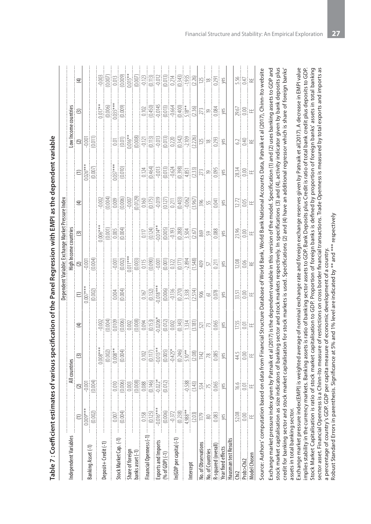| - キャー・シー・シー |      |
|-------------|------|
|             |      |
|             |      |
|             |      |
|             |      |
|             |      |
|             |      |
|             |      |
|             |      |
|             |      |
|             |      |
|             |      |
|             |      |
|             |      |
|             |      |
|             |      |
|             |      |
|             |      |
|             |      |
|             |      |
|             |      |
|             |      |
|             |      |
|             |      |
|             |      |
|             |      |
|             |      |
|             |      |
|             |      |
|             |      |
|             |      |
|             |      |
|             |      |
|             |      |
|             |      |
|             |      |
|             |      |
|             |      |
|             |      |
|             |      |
|             |      |
|             |      |
|             |      |
|             |      |
|             |      |
|             |      |
|             |      |
|             |      |
|             |      |
|             |      |
|             |      |
|             |      |
|             |      |
|             |      |
|             |      |
|             |      |
|             |      |
| I           |      |
|             |      |
|             |      |
|             |      |
|             | T-W- |
|             |      |

 $\overline{a}$ 

| ndependent Variables                   |                                                                                                                                   |                                                                                                                                                                                                                                                                                                                                                 | All countries        |                                    |                             |                                                   | me countries                                                                                                                  |           |                                                                                                                                                                                                                                                                               |                                                                |                                                                                                                                                                                                                                 |                 |
|----------------------------------------|-----------------------------------------------------------------------------------------------------------------------------------|-------------------------------------------------------------------------------------------------------------------------------------------------------------------------------------------------------------------------------------------------------------------------------------------------------------------------------------------------|----------------------|------------------------------------|-----------------------------|---------------------------------------------------|-------------------------------------------------------------------------------------------------------------------------------|-----------|-------------------------------------------------------------------------------------------------------------------------------------------------------------------------------------------------------------------------------------------------------------------------------|----------------------------------------------------------------|---------------------------------------------------------------------------------------------------------------------------------------------------------------------------------------------------------------------------------|-----------------|
|                                        |                                                                                                                                   |                                                                                                                                                                                                                                                                                                                                                 | $\odot$              | $\bigoplus$                        | $\frac{1}{\frac{1}{2000*}}$ | Table: Excha<br>High Incom<br>--0.001<br>--0.004) | $\circ$                                                                                                                       | $\tag{4}$ |                                                                                                                                                                                                                                                                               | Low Income countries<br>(2)<br>$-0.001$<br>$-0.001$<br>(0.011) |                                                                                                                                                                                                                                 | $\tag{4}$       |
|                                        | $0.009***$                                                                                                                        |                                                                                                                                                                                                                                                                                                                                                 |                      |                                    |                             |                                                   |                                                                                                                               |           |                                                                                                                                                                                                                                                                               |                                                                |                                                                                                                                                                                                                                 |                 |
| Banking Asset (-1)                     | (0.002)                                                                                                                           | $\begin{tabular}{ c c } \hline $\mathbf{Q}$ & $\mathbf{0} \rightarrow \mathbf{0}$ \\ \hline $\mathbf{Q}$ & $\mathbf{0} \rightarrow \mathbf{0}$ \\ \hline $\mathbf{0} \rightarrow \mathbf{0}$ & $\mathbf{0} \rightarrow \mathbf{0}$ \\ \hline $\mathbf{0} \rightarrow \mathbf{0}$ & $\mathbf{0} \rightarrow \mathbf{0}$ \\ \hline \end{tabular}$ |                      |                                    |                             |                                                   |                                                                                                                               |           | $\frac{(1)}{\frac{1026*}{0.0007}}$                                                                                                                                                                                                                                            |                                                                |                                                                                                                                                                                                                                 |                 |
|                                        |                                                                                                                                   |                                                                                                                                                                                                                                                                                                                                                 |                      |                                    |                             |                                                   |                                                                                                                               |           |                                                                                                                                                                                                                                                                               |                                                                |                                                                                                                                                                                                                                 |                 |
| leposit+Credit(-1)                     |                                                                                                                                   |                                                                                                                                                                                                                                                                                                                                                 |                      |                                    |                             |                                                   |                                                                                                                               |           |                                                                                                                                                                                                                                                                               |                                                                |                                                                                                                                                                                                                                 |                 |
| Stock Market Cap. (-1)                 |                                                                                                                                   |                                                                                                                                                                                                                                                                                                                                                 |                      |                                    |                             |                                                   |                                                                                                                               |           |                                                                                                                                                                                                                                                                               |                                                                |                                                                                                                                                                                                                                 |                 |
|                                        | $0.007$<br>$(0.004)$                                                                                                              |                                                                                                                                                                                                                                                                                                                                                 |                      |                                    | $\frac{1}{(0.004)}$         |                                                   | $\begin{tabular}{ c c } \hline 0.006**\\ \hline 0.0011\\ \hline 0.005\\ \hline 0.0004\\ \hline 0.0004\\ \hline \end{tabular}$ |           | $\frac{0.037***}{0.010}$                                                                                                                                                                                                                                                      |                                                                |                                                                                                                                                                                                                                 |                 |
| Share of foreign<br>banks asset (-1)   |                                                                                                                                   |                                                                                                                                                                                                                                                                                                                                                 |                      |                                    |                             |                                                   |                                                                                                                               |           |                                                                                                                                                                                                                                                                               |                                                                |                                                                                                                                                                                                                                 |                 |
|                                        |                                                                                                                                   |                                                                                                                                                                                                                                                                                                                                                 |                      |                                    |                             |                                                   |                                                                                                                               |           |                                                                                                                                                                                                                                                                               |                                                                |                                                                                                                                                                                                                                 |                 |
| nancial Openness (-1)                  |                                                                                                                                   |                                                                                                                                                                                                                                                                                                                                                 |                      |                                    |                             |                                                   |                                                                                                                               |           |                                                                                                                                                                                                                                                                               |                                                                |                                                                                                                                                                                                                                 |                 |
|                                        |                                                                                                                                   |                                                                                                                                                                                                                                                                                                                                                 |                      |                                    |                             |                                                   |                                                                                                                               |           |                                                                                                                                                                                                                                                                               |                                                                |                                                                                                                                                                                                                                 |                 |
|                                        |                                                                                                                                   |                                                                                                                                                                                                                                                                                                                                                 |                      |                                    |                             |                                                   |                                                                                                                               |           |                                                                                                                                                                                                                                                                               |                                                                |                                                                                                                                                                                                                                 |                 |
| Exports and Imports<br>(% of GDP) (-1) | $\begin{array}{r} 0.158 \\ -0.0125) \\ -0.016 \\ -0.016 \\ -0.312 \\ -0.312 \\ -0.238 \\ -0.238 \\ +9.88 \\ +9.88 \\ \end{array}$ |                                                                                                                                                                                                                                                                                                                                                 |                      |                                    |                             |                                                   |                                                                                                                               |           |                                                                                                                                                                                                                                                                               |                                                                |                                                                                                                                                                                                                                 |                 |
| (GDP per capita) (-1)                  |                                                                                                                                   |                                                                                                                                                                                                                                                                                                                                                 |                      |                                    |                             |                                                   |                                                                                                                               |           |                                                                                                                                                                                                                                                                               |                                                                |                                                                                                                                                                                                                                 |                 |
|                                        |                                                                                                                                   |                                                                                                                                                                                                                                                                                                                                                 |                      |                                    |                             |                                                   |                                                                                                                               |           |                                                                                                                                                                                                                                                                               |                                                                |                                                                                                                                                                                                                                 |                 |
| ntercept                               |                                                                                                                                   |                                                                                                                                                                                                                                                                                                                                                 |                      |                                    |                             |                                                   |                                                                                                                               |           |                                                                                                                                                                                                                                                                               |                                                                |                                                                                                                                                                                                                                 |                 |
|                                        |                                                                                                                                   |                                                                                                                                                                                                                                                                                                                                                 |                      |                                    |                             |                                                   |                                                                                                                               |           |                                                                                                                                                                                                                                                                               |                                                                |                                                                                                                                                                                                                                 |                 |
| <b>Vo.</b> of Observations             | $\frac{1179}{2}$                                                                                                                  |                                                                                                                                                                                                                                                                                                                                                 |                      |                                    |                             |                                                   |                                                                                                                               |           |                                                                                                                                                                                                                                                                               |                                                                |                                                                                                                                                                                                                                 |                 |
| lo. of Countries                       |                                                                                                                                   |                                                                                                                                                                                                                                                                                                                                                 |                      |                                    |                             |                                                   |                                                                                                                               |           |                                                                                                                                                                                                                                                                               |                                                                |                                                                                                                                                                                                                                 |                 |
| esquared (overall)                     | 1.083                                                                                                                             | $\begin{tabular}{ c c } \hline -0.588 \\ \hline -0.543 \\ \hline 0.43 \\ \hline 7.5 \\ \hline 7.5 \\ \hline 8. \\ \hline \end{tabular}$                                                                                                                                                                                                         |                      |                                    |                             |                                                   |                                                                                                                               |           | $\begin{tabular}{ c c c c c c c c } \hline & 14.4 & 14.4 & 14.4 & 14.4 & 14.4 & 14.4 & 14.4 & 14.4 & 14.4 & 14.4 & 14.4 & 14.4 & 14.4 & 14.4 & 14.4 & 14.4 & 14.4 & 14.4 & 14.4 & 14.4 & 14.4 & 14.4 & 14.4 & 14.4 & 14.4 & 14.4 & 14.4 & 14.4 & 14.4 & 14.4 & 14.4 & 14.4 &$ |                                                                | $\begin{tabular}{ c c c c c c } \hline & 0.0161 & 0.0161 & 0.0161 \\ \hline 0.0145 & 0.0161 & 0.0161 & 0.0161 \\ \hline 0.0010 & 0.0161 & 0.0161 & 0.0161 \\ \hline 0.0000 & 0.0161 & 0.0161 & 0.01641 \\ \hline \end{tabular}$ |                 |
| ear fixed effects                      |                                                                                                                                   |                                                                                                                                                                                                                                                                                                                                                 |                      |                                    |                             |                                                   |                                                                                                                               |           |                                                                                                                                                                                                                                                                               |                                                                |                                                                                                                                                                                                                                 |                 |
| Hausman test Results                   |                                                                                                                                   |                                                                                                                                                                                                                                                                                                                                                 |                      |                                    |                             |                                                   |                                                                                                                               |           |                                                                                                                                                                                                                                                                               |                                                                |                                                                                                                                                                                                                                 |                 |
|                                        | 52.08                                                                                                                             |                                                                                                                                                                                                                                                                                                                                                 |                      |                                    |                             |                                                   |                                                                                                                               |           |                                                                                                                                                                                                                                                                               |                                                                |                                                                                                                                                                                                                                 |                 |
| $nb >$ Chi <sub>2</sub>                | $\frac{1}{2}$                                                                                                                     | 의해 변                                                                                                                                                                                                                                                                                                                                            | $\frac{415}{25} = 1$ | $\frac{55}{25}$ is $\frac{11}{25}$ | 있음.<br>전                    | $\frac{28}{210}$                                  | $23.86$<br>$\pm 0.00$                                                                                                         | 있음        | $283$<br>$\frac{3}{2}$<br>$\frac{1}{2}$<br>$\frac{1}{2}$                                                                                                                                                                                                                      | 의흥                                                             | $\begin{array}{r} \underline{29.67} \\ 0.00 \\ \underline{\mathrm{FE}} \end{array}$                                                                                                                                             | $\frac{25}{25}$ |
| <b>Nodel Chosen</b>                    |                                                                                                                                   |                                                                                                                                                                                                                                                                                                                                                 |                      |                                    |                             |                                                   |                                                                                                                               |           |                                                                                                                                                                                                                                                                               |                                                                |                                                                                                                                                                                                                                 |                 |
|                                        |                                                                                                                                   |                                                                                                                                                                                                                                                                                                                                                 |                      |                                    |                             |                                                   |                                                                                                                               |           |                                                                                                                                                                                                                                                                               |                                                                |                                                                                                                                                                                                                                 |                 |

Source: Authors' computation based on data from Financial Structure Database of World Bank, World Bank National Accounts Data, Patnaik et al (2017). Chinn-Ito website Source: Authors' computation based on data from Financial Structure Database of World Bank, World Bank National Accounts Data, Patnaik et al (2017), Chinn-Ito website Exchange market pressure index given by Patnaik et al (2017) is the dependent variable in this version of the model. Specification (1) and (2) uses banking assets to GDP and Exchange market pressure index given by Patnaik et al (2017) is the dependent variable in this version of the model. Specification (1) and (2) uses banking assets to GDP and stock market capitalisation as size indicators of banking sector and stock markets respectively. In specifications (3) and (4), activity indicator given by bank deposits plus stock market capitalisation as size indicators of banking sector and stock markets respectively. In specifications (3) and (4), activity indicator given by bank deposits plus credit for banking sector and stock market capitalisation for stock markets is used. Specifications (2) and (4) have an additional regressor which is share of foreign banks' credit for banking sector and stock market capitalisation for stock markets is used. Specifications (2) and (4) have an additional regressor which is share of foreign banks' assets in total banking sector. assets in total banking sector.

Exchange market pressure index(EMPI) is weighted average of nominal exchange rate and foreign exchange reserves given by Patnaik et al(2017). A decrease in EMPI value sector asset. Financial Openness is a Chinn-Ito measure of restrictions on cross border financial transactions. Trade Openness is measured by total exports and imports as Exchange market pressure index(EMPI) is weighted average of nominal exchange rate and foreign exchange reserves given by Patnaik et al(2017). A decrease in EMPI value implies stability in the currency markets. Banking assets is ratio of banking sector assets to GDP. Bank Deposits plus Credit is ratio of total bank credit plus deposits to GDP. implies stability in the currency markets. Banking assets is ratio of banking sector assets to GDP. Bank Deposits plus Credit is ratio of total bank credit plus deposits to GDP. Stock Market Capitalisation is ratio of stock market capitalisation to GDP. Proportion of foreign banks is defined by proportion of foreign banks' assets in total banking Stock Market Capitalisation is ratio of stock market capitalisation to GDP. Proportion of foreign banks is defined by proportion of foreign banks' assets in total banking sector asset. Financial Openness is a Chinn-Ito measure of restrictions on cross border financial transactions. Trade Openness is measured by total exports and imports as a percentage of country's GDP. GDP per capita measure of economic development of a country. a percentage of country's GDP. GDP per capita measure of economic development of a country.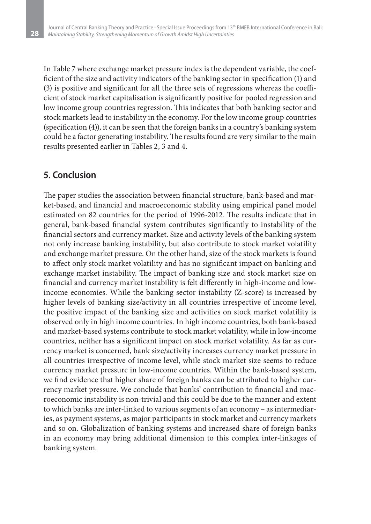In Table 7 where exchange market pressure index is the dependent variable, the coefficient of the size and activity indicators of the banking sector in specification (1) and (3) is positive and significant for all the three sets of regressions whereas the coefficient of stock market capitalisation is significantly positive for pooled regression and low income group countries regression. This indicates that both banking sector and stock markets lead to instability in the economy. For the low income group countries (specification (4)), it can be seen that the foreign banks in a country's banking system could be a factor generating instability. The results found are very similar to the main results presented earlier in Tables 2, 3 and 4.

### **5. Conclusion**

**28**

The paper studies the association between financial structure, bank-based and market-based, and financial and macroeconomic stability using empirical panel model estimated on 82 countries for the period of 1996-2012. The results indicate that in general, bank-based financial system contributes significantly to instability of the financial sectors and currency market. Size and activity levels of the banking system not only increase banking instability, but also contribute to stock market volatility and exchange market pressure. On the other hand, size of the stock markets is found to affect only stock market volatility and has no significant impact on banking and exchange market instability. The impact of banking size and stock market size on financial and currency market instability is felt differently in high-income and lowincome economies. While the banking sector instability (Z-score) is increased by higher levels of banking size/activity in all countries irrespective of income level, the positive impact of the banking size and activities on stock market volatility is observed only in high income countries. In high income countries, both bank-based and market-based systems contribute to stock market volatility, while in low-income countries, neither has a significant impact on stock market volatility. As far as currency market is concerned, bank size/activity increases currency market pressure in all countries irrespective of income level, while stock market size seems to reduce currency market pressure in low-income countries. Within the bank-based system, we find evidence that higher share of foreign banks can be attributed to higher currency market pressure. We conclude that banks' contribution to financial and macroeconomic instability is non-trivial and this could be due to the manner and extent to which banks are inter-linked to various segments of an economy – as intermediaries, as payment systems, as major participants in stock market and currency markets and so on. Globalization of banking systems and increased share of foreign banks in an economy may bring additional dimension to this complex inter-linkages of banking system.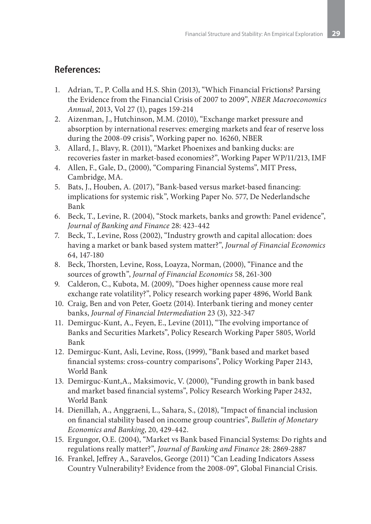### **References:**

- 1. Adrian, T., P. Colla and H.S. Shin (2013), "Which Financial Frictions? Parsing the Evidence from the Financial Crisis of 2007 to 2009", *NBER Macroeconomics Annual*, 2013, Vol 27 (1), pages 159-214
- 2. Aizenman, J., Hutchinson, M.M. (2010), "Exchange market pressure and absorption by international reserves: emerging markets and fear of reserve loss during the 2008-09 crisis", Working paper no. 16260, NBER
- 3. Allard, J., Blavy, R. (2011), "Market Phoenixes and banking ducks: are recoveries faster in market-based economies?", Working Paper WP/11/213, IMF
- 4. Allen, F., Gale, D., (2000), "Comparing Financial Systems", MIT Press, Cambridge, MA.
- 5. Bats, J., Houben, A. (2017), "Bank-based versus market-based financing: implications for systemic risk", Working Paper No. 577, De Nederlandsche Bank
- 6. Beck, T., Levine, R. (2004), "Stock markets, banks and growth: Panel evidence", *Journal of Banking and Finance* 28: 423-442
- 7. Beck, T., Levine, Ross (2002), "Industry growth and capital allocation: does having a market or bank based system matter?", *Journal of Financial Economics* 64, 147-180
- 8. Beck, Thorsten, Levine, Ross, Loayza, Norman, (2000), "Finance and the sources of growth", *Journal of Financial Economics* 58, 261-300
- 9. Calderon, C., Kubota, M. (2009), "Does higher openness cause more real exchange rate volatility?", Policy research working paper 4896, World Bank
- 10. Craig, Ben and von Peter, Goetz (2014). Interbank tiering and money center banks, *Journal of Financial Intermediation* 23 (3), 322-347
- 11. Demirguc-Kunt, A., Feyen, E., Levine (2011), "The evolving importance of Banks and Securities Markets", Policy Research Working Paper 5805, World Bank
- 12. Demirguc-Kunt, Asli, Levine, Ross, (1999), "Bank based and market based financial systems: cross-country comparisons", Policy Working Paper 2143, World Bank
- 13. Demirguc-Kunt,A., Maksimovic, V. (2000), "Funding growth in bank based and market based financial systems", Policy Research Working Paper 2432, World Bank
- 14. Dienillah, A., Anggraeni, L., Sahara, S., (2018), "Impact of financial inclusion on financial stability based on income group countries", *Bulletin of Monetary Economics and Banking*, 20, 429-442.
- 15. Ergungor, O.E. (2004), "Market vs Bank based Financial Systems: Do rights and regulations really matter?", *Journal of Banking and Finance* 28: 2869-2887
- 16. Frankel, Jeffrey A., Saravelos, George (2011) "Can Leading Indicators Assess Country Vulnerability? Evidence from the 2008-09", Global Financial Crisis.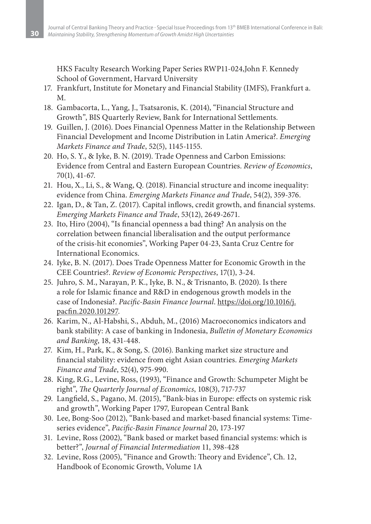HKS Faculty Research Working Paper Series RWP11-024,John F. Kennedy School of Government, Harvard University

- 17. Frankfurt, Institute for Monetary and Financial Stability (IMFS), Frankfurt a. M.
- 18. Gambacorta, L., Yang, J., Tsatsaronis, K. (2014), "Financial Structure and Growth", BIS Quarterly Review, Bank for International Settlements.
- 19. Guillen, J. (2016). Does Financial Openness Matter in the Relationship Between Financial Development and Income Distribution in Latin America?. *Emerging Markets Finance and Trade*, 52(5), 1145-1155.
- 20. Ho, S. Y., & Iyke, B. N. (2019). Trade Openness and Carbon Emissions: Evidence from Central and Eastern European Countries. *Review of Economics*, 70(1), 41-67.
- 21. Hou, X., Li, S., & Wang, Q. (2018). Financial structure and income inequality: evidence from China. *Emerging Markets Finance and Trade*, 54(2), 359-376.
- 22. Igan, D., & Tan, Z. (2017). Capital inflows, credit growth, and financial systems. *Emerging Markets Finance and Trade*, 53(12), 2649-2671.
- 23. Ito, Hiro (2004), "Is financial openness a bad thing? An analysis on the correlation between financial liberalisation and the output performance of the crisis-hit economies", Working Paper 04-23, Santa Cruz Centre for International Economics.
- 24. Iyke, B. N. (2017). Does Trade Openness Matter for Economic Growth in the CEE Countries?. *Review of Economic Perspectives*, 17(1), 3-24.
- 25. Juhro, S. M., Narayan, P. K., Iyke, B. N., & Trisnanto, B. (2020). Is there a role for Islamic finance and R&D in endogenous growth models in the case of Indonesia?. *Pacific-Basin Finance Journal*. https://doi.org/10.1016/j. pacfin.2020.101297.
- 26. Karim, N., Al-Habshi, S., Abduh, M., (2016) Macroeconomics indicators and bank stability: A case of banking in Indonesia, *Bulletin of Monetary Economics and Banking*, 18, 431-448.
- 27. Kim, H., Park, K., & Song, S. (2016). Banking market size structure and financial stability: evidence from eight Asian countries. *Emerging Markets Finance and Trade*, 52(4), 975-990.
- 28. King, R.G., Levine, Ross, (1993), "Finance and Growth: Schumpeter Might be right", *The Quarterly Journal of Economics*, 108(3), 717-737
- 29. Langfield, S., Pagano, M. (2015), "Bank-bias in Europe: effects on systemic risk and growth", Working Paper 1797, European Central Bank
- 30. Lee, Bong-Soo (2012), "Bank-based and market-based financial systems: Timeseries evidence", *Pacific-Basin Finance Journal* 20, 173-197
- 31. Levine, Ross (2002), "Bank based or market based financial systems: which is better?", *Journal of Financial Intermediation* 11, 398-428
- 32. Levine, Ross (2005), "Finance and Growth: Theory and Evidence", Ch. 12, Handbook of Economic Growth, Volume 1A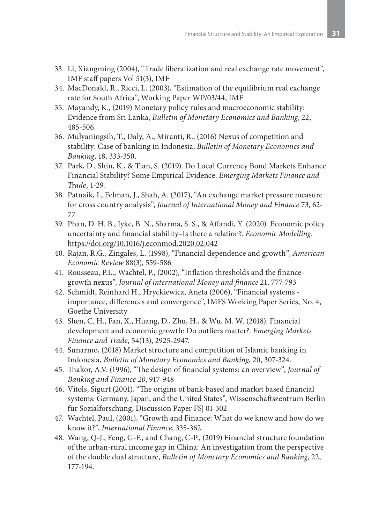- 33. Li, Xiangming (2004), "Trade liberalization and real exchange rate movement", IMF staff papers Vol 51(3), IMF
- 34. MacDonald, R., Ricci, L. (2003), "Estimation of the equilibrium real exchange rate for South Africa", Working Paper WP/03/44, IMF
- 35. Mayandy, K., (2019) Monetary policy rules and macroeconomic stability: Evidence from Sri Lanka, *Bulletin of Monetary Economics and Banking*, 22, 485-506.
- 36. Mulyaningsih, T., Daly, A., Miranti, R., (2016) Nexus of competition and stability: Case of banking in Indonesia, *Bulletin of Monetary Economics and Banking*, 18, 333-350.
- 37. Park, D., Shin, K., & Tian, S. (2019). Do Local Currency Bond Markets Enhance Financial Stability? Some Empirical Evidence. *Emerging Markets Finance and Trade*, 1-29.
- 38. Patnaik, I., Felman, J., Shah, A. (2017), "An exchange market pressure measure for cross country analysis", *Journal of International Money and Finance* 73, 62- 77
- 39. Phan, D. H. B., Iyke, B. N., Sharma, S. S., & Affandi, Y. (2020). Economic policy uncertainty and financial stability–Is there a relation?. *Economic Modelling*. https://doi.org/10.1016/j.econmod.2020.02.042
- 40. Rajan, R.G., Zingales, L. (1998), "Financial dependence and growth", *American Economic Review* 88(3), 559-586
- 41. Rousseau, P.L., Wachtel, P., (2002), "Inflation thresholds and the financegrowth nexus", *Journal of international Money and finance* 21, 777-793
- 42. Schmidt, Reinhard H., Hryckiewicz, Aneta (2006), "Financial systems importance, differences and convergence", IMFS Working Paper Series, No. 4, Goethe University
- 43. Shen, C. H., Fan, X., Huang, D., Zhu, H., & Wu, M. W. (2018). Financial development and economic growth: Do outliers matter?. *Emerging Markets Finance and Trade*, 54(13), 2925-2947.
- 44. Sunarmo, (2018) Market structure and competition of Islamic banking in Indonesia, *Bulletin of Monetary Economics and Banking*, 20, 307-324.
- 45. Thakor, A.V. (1996), "The design of financial systems: an overview", *Journal of Banking and Finance 20*, 917-948
- 46. Vitols, Sigurt (2001), "The origins of bank-based and market based financial systems: Germany, Japan, and the United States", Wissenschaftszentrum Berlin für Sozialforschung, Discussion Paper FS| 01-302
- 47. Wachtel, Paul, (2001), "Growth and Finance: What do we know and how do we know it?", *International Finance*, 335-362
- 48. Wang, Q-J., Feng, G-F., and Chang, C-P., (2019) Financial structure foundation of the urban-rural income gap in China: An investigation from the perspective of the double dual structure, *Bulletin of Monetary Economics and Banking*, 22, 177-194.